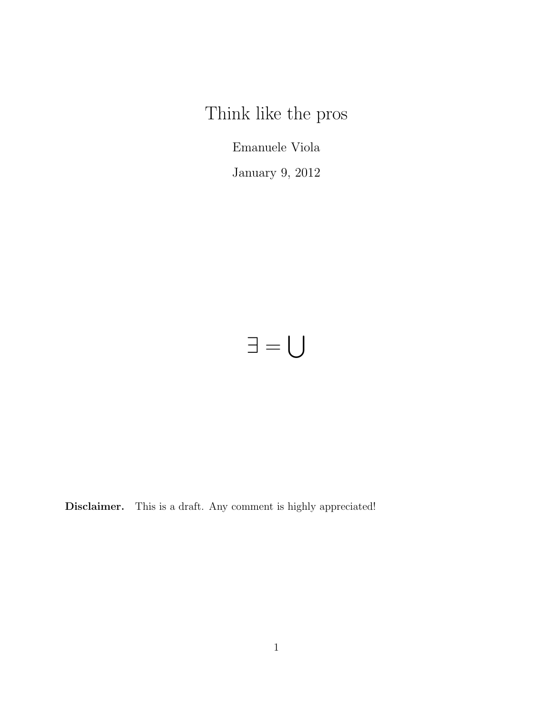Think like the pros

Emanuele Viola

January 9, 2012

# ∃ =  $\overline{\mathbf{S}}$

Disclaimer. This is a draft. Any comment is highly appreciated!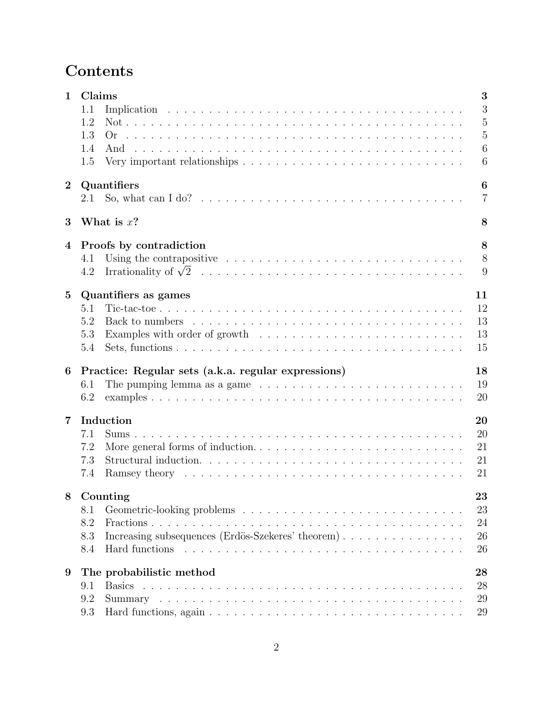# Contents

| $\mathbf{1}$   | Claims<br>3<br>3<br>1.1                                                                                                                                                                |
|----------------|----------------------------------------------------------------------------------------------------------------------------------------------------------------------------------------|
|                | $\overline{5}$<br>1.2<br>$\overline{5}$<br>1.3<br>6<br>1.4<br>6<br>Very important relationships $\dots \dots \dots \dots \dots \dots \dots \dots \dots \dots \dots$<br>1.5             |
| $\bf{2}$       | 6<br>Quantifiers<br>$\overline{7}$<br>2.1                                                                                                                                              |
| 3              | What is $x$ ?<br>8                                                                                                                                                                     |
| 4              | 8<br>Proofs by contradiction<br>8<br>Using the contrapositive $\dots \dots \dots \dots \dots \dots \dots \dots \dots \dots \dots \dots$<br>4.1<br>9<br>4.2                             |
| $\bf{5}$       | 11<br>Quantifiers as games<br>12<br>5.1<br>13<br>5.2<br>13<br>5.3<br>15<br>5.4                                                                                                         |
| 6              | 18<br>Practice: Regular sets (a.k.a. regular expressions)<br>19<br>The pumping lemma as a game $\dots \dots \dots \dots \dots \dots \dots \dots \dots \dots \dots$<br>6.1<br>20<br>6.2 |
| $\overline{7}$ | Induction<br>20<br>20<br>7.1<br>21<br>7.2<br>21<br>7.3<br>21<br>7.4                                                                                                                    |
|                | 8 Counting<br>23<br>23<br>8.1<br>24<br>8.2<br>Increasing subsequences (Erdös-Szekeres' theorem)<br>26<br>8.3<br>26<br>8.4                                                              |
| 9              | The probabilistic method<br>28<br>28<br>9.1<br><b>Basics</b><br>29<br>9.2<br>29<br>9.3                                                                                                 |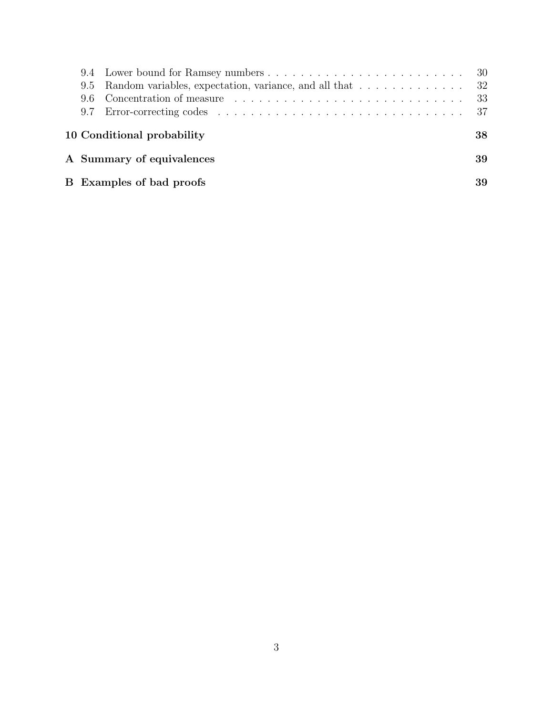|  |                                 | - 33 |
|--|---------------------------------|------|
|  |                                 |      |
|  | 10 Conditional probability      | 38   |
|  | A Summary of equivalences       | 39   |
|  | <b>B</b> Examples of bad proofs | 39   |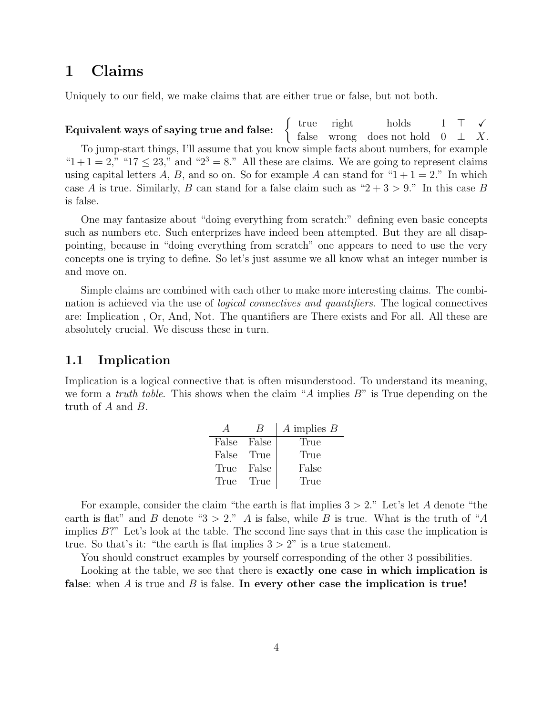# 1 Claims

Uniquely to our field, we make claims that are either true or false, but not both.

Equivalent ways of saying true and false:  $\begin{cases} \text{true} & \text{right} \quad \text{holds} \quad 1 \quad \top \quad \checkmark \quad \text{f. be} \quad \text{right} \quad \text{to} \quad \mathbb{R} \end{cases}$ false wrong does not hold  $0 \perp X$ . To jump-start things, I'll assume that you know simple facts about numbers, for example " $1+1=2$ ," " $17 \le 23$ ," and " $2^3=8$ ." All these are claims. We are going to represent claims using capital letters A, B, and so on. So for example A can stand for " $1+1=2$ ." In which case A is true. Similarly, B can stand for a false claim such as " $2 + 3 > 9$ ." In this case B is false.

One may fantasize about "doing everything from scratch:" defining even basic concepts such as numbers etc. Such enterprizes have indeed been attempted. But they are all disappointing, because in "doing everything from scratch" one appears to need to use the very concepts one is trying to define. So let's just assume we all know what an integer number is and move on.

Simple claims are combined with each other to make more interesting claims. The combination is achieved via the use of logical connectives and quantifiers. The logical connectives are: Implication , Or, And, Not. The quantifiers are There exists and For all. All these are absolutely crucial. We discuss these in turn.

### 1.1 Implication

Implication is a logical connective that is often misunderstood. To understand its meaning, we form a *truth table*. This shows when the claim "A implies  $B$ " is True depending on the truth of A and B.

|       |       | $A$ implies $B$ |
|-------|-------|-----------------|
| False | False | True            |
| False | True  | True            |
| True  | False | False           |
| True  | True  | True            |

For example, consider the claim "the earth is flat implies  $3 > 2$ ." Let's let A denote "the earth is flat" and B denote " $3 > 2$ ." A is false, while B is true. What is the truth of "A implies  $B$ ?" Let's look at the table. The second line says that in this case the implication is true. So that's it: "the earth is flat implies  $3 > 2$ " is a true statement.

You should construct examples by yourself corresponding of the other 3 possibilities.

Looking at the table, we see that there is **exactly one case in which implication is** false: when  $A$  is true and  $B$  is false. In every other case the implication is true!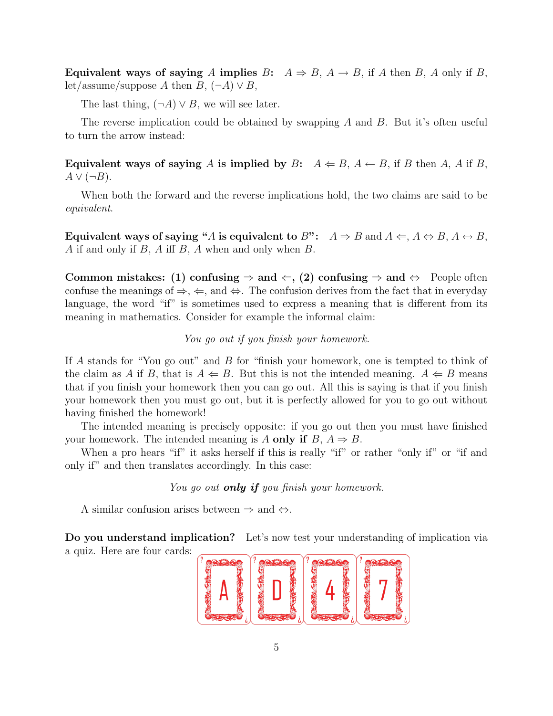Equivalent ways of saying A implies B:  $A \Rightarrow B$ ,  $A \rightarrow B$ , if A then B, A only if B, let/assume/suppose A then  $B$ ,  $(\neg A) \vee B$ ,

The last thing,  $(\neg A) \lor B$ , we will see later.

The reverse implication could be obtained by swapping A and B. But it's often useful to turn the arrow instead:

Equivalent ways of saying A is implied by B:  $A \leftarrow B$ ,  $A \leftarrow B$ , if B then A, A if B,  $A \vee (\neg B)$ .

When both the forward and the reverse implications hold, the two claims are said to be equivalent.

Equivalent ways of saying "A is equivalent to B":  $A \Rightarrow B$  and  $A \Leftarrow A \Leftrightarrow B, A \leftrightarrow B$ , A if and only if B, A iff B, A when and only when B.

Common mistakes: (1) confusing  $\Rightarrow$  and  $\Leftarrow$ , (2) confusing  $\Rightarrow$  and  $\Leftrightarrow$  People often confuse the meanings of  $\Rightarrow$ ,  $\Leftarrow$ , and  $\Leftrightarrow$ . The confusion derives from the fact that in everyday language, the word "if" is sometimes used to express a meaning that is different from its meaning in mathematics. Consider for example the informal claim:

#### You go out if you finish your homework.

If A stands for "You go out" and B for "finish your homework, one is tempted to think of the claim as A if B, that is  $A \Leftarrow B$ . But this is not the intended meaning.  $A \Leftarrow B$  means that if you finish your homework then you can go out. All this is saying is that if you finish your homework then you must go out, but it is perfectly allowed for you to go out without having finished the homework!

The intended meaning is precisely opposite: if you go out then you must have finished your homework. The intended meaning is A only if  $B, A \Rightarrow B$ .

When a pro hears "if" it asks herself if this is really "if" or rather "only if" or "if and only if" and then translates accordingly. In this case:

You go out **only if** you finish your homework.

A similar confusion arises between  $\Rightarrow$  and  $\Leftrightarrow$ .

Do you understand implication? Let's now test your understanding of implication via a quiz. Here are four cards:

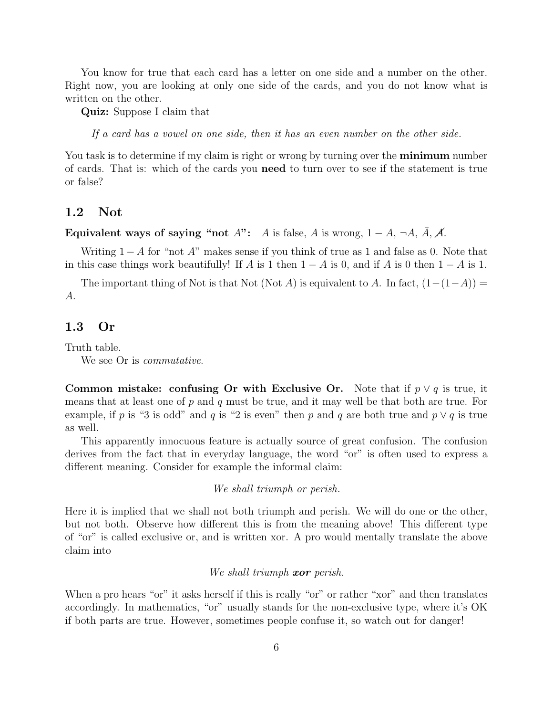You know for true that each card has a letter on one side and a number on the other. Right now, you are looking at only one side of the cards, and you do not know what is written on the other.

Quiz: Suppose I claim that

If a card has a vowel on one side, then it has an even number on the other side.

You task is to determine if my claim is right or wrong by turning over the **minimum** number of cards. That is: which of the cards you need to turn over to see if the statement is true or false?

### 1.2 Not

Equivalent ways of saying "not A": A is false, A is wrong,  $1 - A$ ,  $\neg A$ ,  $\overline{A}$ ,  $\overline{A}$ .

Writing  $1 - A$  for "not A" makes sense if you think of true as 1 and false as 0. Note that in this case things work beautifully! If A is 1 then  $1 - A$  is 0, and if A is 0 then  $1 - A$  is 1.

The important thing of Not is that Not (Not A) is equivalent to A. In fact,  $(1-(1-A))$  = A.

### 1.3 Or

Truth table.

We see Or is *commutative*.

Common mistake: confusing Or with Exclusive Or. Note that if  $p \vee q$  is true, it means that at least one of  $p$  and  $q$  must be true, and it may well be that both are true. For example, if p is "3 is odd" and q is "2 is even" then p and q are both true and  $p \vee q$  is true as well.

This apparently innocuous feature is actually source of great confusion. The confusion derives from the fact that in everyday language, the word "or" is often used to express a different meaning. Consider for example the informal claim:

We shall triumph or perish.

Here it is implied that we shall not both triumph and perish. We will do one or the other, but not both. Observe how different this is from the meaning above! This different type of "or" is called exclusive or, and is written xor. A pro would mentally translate the above claim into

We shall triumph xor perish.

When a pro hears "or" it asks herself if this is really "or" or rather "xor" and then translates accordingly. In mathematics, "or" usually stands for the non-exclusive type, where it's OK if both parts are true. However, sometimes people confuse it, so watch out for danger!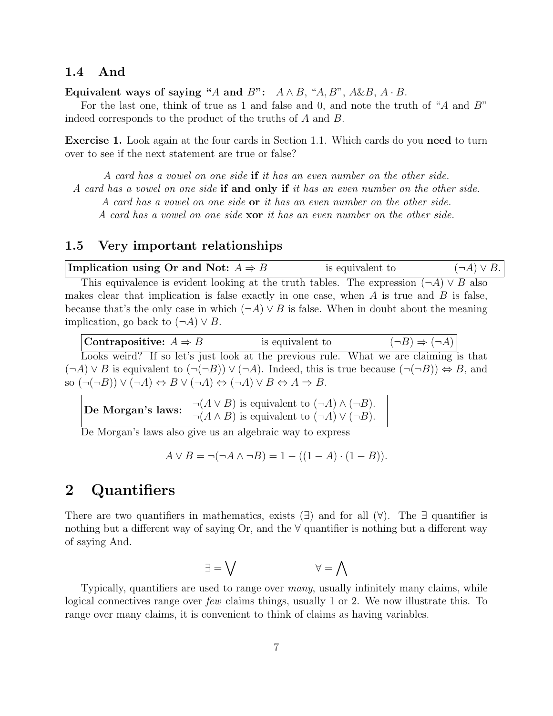### 1.4 And

Equivalent ways of saying "A and B":  $A \wedge B$ , "A, B", A&B,  $A \cdot B$ .

For the last one, think of true as 1 and false and 0, and note the truth of "A and B" indeed corresponds to the product of the truths of A and B.

Exercise 1. Look again at the four cards in Section 1.1. Which cards do you need to turn over to see if the next statement are true or false?

A card has a vowel on one side if it has an even number on the other side. A card has a vowel on one side if and only if it has an even number on the other side. A card has a vowel on one side or it has an even number on the other side. A card has a vowel on one side xor it has an even number on the other side.

### 1.5 Very important relationships

| Implication using Or and Not: $A \Rightarrow B$                                                   | is equivalent to | $(\neg A) \vee B$ . |
|---------------------------------------------------------------------------------------------------|------------------|---------------------|
| This equivalence is evident looking at the truth tables. The expression $(\neg A) \vee B$ also    |                  |                     |
| makes clear that implication is false exactly in one case, when $A$ is true and $B$ is false,     |                  |                     |
| because that's the only case in which $(\neg A) \lor B$ is false. When in doubt about the meaning |                  |                     |
| implication, go back to $(\neg A) \vee B$ .                                                       |                  |                     |

| Contrapositive: $A \Rightarrow B$ | is equivalent to                                                                                                                    | $(\neg B) \Rightarrow (\neg A)$                                                                                                           |
|-----------------------------------|-------------------------------------------------------------------------------------------------------------------------------------|-------------------------------------------------------------------------------------------------------------------------------------------|
|                                   |                                                                                                                                     | Looks weird? If so let's just look at the previous rule. What we are claiming is that                                                     |
|                                   |                                                                                                                                     | $(\neg A) \vee B$ is equivalent to $(\neg(\neg B)) \vee (\neg A)$ . Indeed, this is true because $(\neg(\neg B)) \Leftrightarrow B$ , and |
|                                   | so $(\neg(\neg B)) \vee (\neg A) \Leftrightarrow B \vee (\neg A) \Leftrightarrow (\neg A) \vee B \Leftrightarrow A \Rightarrow B$ . |                                                                                                                                           |

De Morgan's laws:  $\neg(A \lor B)$  is equivalent to  $(\neg A) \land (\neg B)$ .  $\neg(A \land B)$  is equivalent to  $(\neg A) \lor (\neg B)$ .

De Morgan's laws also give us an algebraic way to express

$$
A \lor B = \neg(\neg A \land \neg B) = 1 - ((1 - A) \cdot (1 - B)).
$$

### 2 Quantifiers

There are two quantifiers in mathematics, exists  $(\exists)$  and for all  $(\forall)$ . The  $\exists$  quantifier is nothing but a different way of saying Or, and the  $\forall$  quantifier is nothing but a different way of saying And.

$$
\forall = \forall
$$

Typically, quantifiers are used to range over many, usually infinitely many claims, while logical connectives range over few claims things, usually 1 or 2. We now illustrate this. To range over many claims, it is convenient to think of claims as having variables.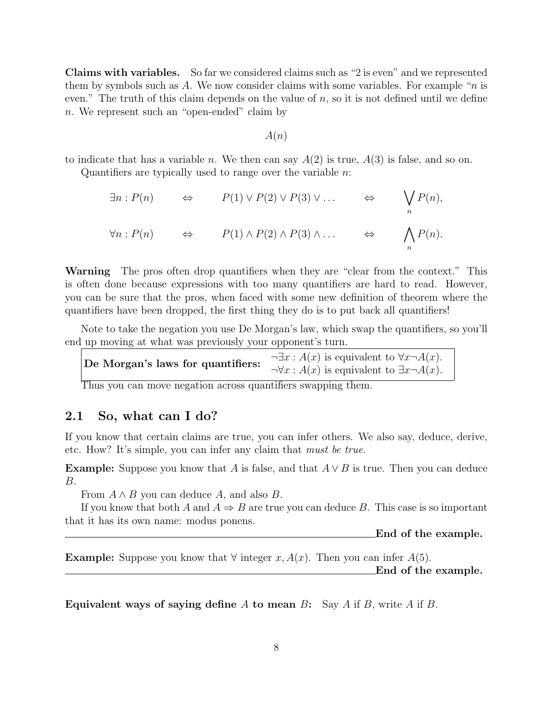Claims with variables. So far we considered claims such as "2 is even" and we represented them by symbols such as A. We now consider claims with some variables. For example "n is even." The truth of this claim depends on the value of  $n$ , so it is not defined until we define n. We represent such an "open-ended" claim by

A(n)

to indicate that has a variable n. We then can say  $A(2)$  is true,  $A(3)$  is false, and so on. Quantifiers are typically used to range over the variable  $n$ .

$$
\exists n : P(n) \qquad \Leftrightarrow \qquad P(1) \vee P(2) \vee P(3) \vee \dots \qquad \Leftrightarrow \qquad \bigvee_n P(n),
$$
  

$$
\forall n : P(n) \qquad \Leftrightarrow \qquad P(1) \wedge P(2) \wedge P(3) \wedge \dots \qquad \Leftrightarrow \qquad \bigwedge_n P(n).
$$

Warning The prosoften drop quantifiers when they are "clear from the context." This is often done because expressions with too many quantifiers are hard to read. However, you can be sure that the pros, when faced with some new definition of theorem where the quantifiers have been dropped, the first thing they do is to put back all quantifiers!

Note to take the negation you use De Morgan's law, which swap the quantifiers, so you'll end up moving at what was previously your opponent's turn.

| De Morgan's laws for quantifiers: | $\neg \exists x : A(x)$ is equivalent to $\forall x \neg A(x)$ . |
|-----------------------------------|------------------------------------------------------------------|
|                                   | $\neg \forall x : A(x)$ is equivalent to $\exists x \neg A(x)$ . |

Thus you can move negation across quantifiers swapping them.

### 2.1 So, what can I do?

If you know that certain claims are true, you can infer others. We also say, deduce, derive, etc. How? It's simple, you can infer any claim that must be true.

**Example:** Suppose you know that A is false, and that  $A \vee B$  is true. Then you can deduce B.

From  $A \wedge B$  you can deduce A, and also B.

If you know that both A and  $A \Rightarrow B$  are true you can deduce B. This case is so important that it has its own name: modus ponens.

End of the example.

**Example:** Suppose you know that  $\forall$  integer x,  $A(x)$ . Then you can infer  $A(5)$ .

End of the example.

Equivalent ways of saying define A to mean B: Say A if B, write A if B.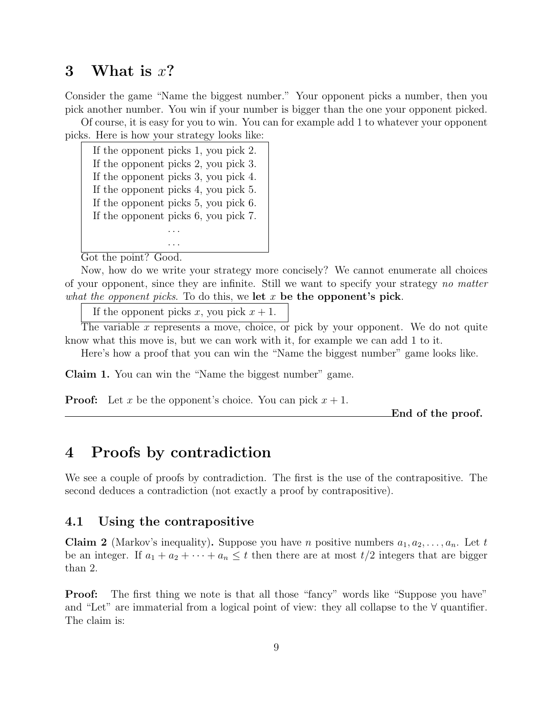### 3 What is  $x$ ?

Consider the game "Name the biggest number." Your opponent picks a number, then you pick another number. You win if your number is bigger than the one your opponent picked.

Of course, it is easy for you to win. You can for example add 1 to whatever your opponent picks. Here is how your strategy looks like:

| If the opponent picks 1, you pick 2. |
|--------------------------------------|
| If the opponent picks 2, you pick 3. |
| If the opponent picks 3, you pick 4. |
| If the opponent picks 4, you pick 5. |
| If the opponent picks 5, you pick 6. |
| If the opponent picks 6, you pick 7. |
|                                      |
|                                      |

Got the point? Good.

Now, how do we write your strategy more concisely? We cannot enumerate all choices of your opponent, since they are infinite. Still we want to specify your strategy no matter what the opponent picks. To do this, we let  $x$  be the opponent's pick.

If the opponent picks x, you pick  $x + 1$ .

The variable x represents a move, choice, or pick by your opponent. We do not quite know what this move is, but we can work with it, for example we can add 1 to it.

Here's how a proof that you can win the "Name the biggest number" game looks like.

Claim 1. You can win the "Name the biggest number" game.

**Proof:** Let x be the opponent's choice. You can pick  $x + 1$ .

End of the proof.

## 4 Proofs by contradiction

We see a couple of proofs by contradiction. The first is the use of the contrapositive. The second deduces a contradiction (not exactly a proof by contrapositive).

### 4.1 Using the contrapositive

**Claim 2** (Markov's inequality). Suppose you have *n* positive numbers  $a_1, a_2, \ldots, a_n$ . Let t be an integer. If  $a_1 + a_2 + \cdots + a_n \leq t$  then there are at most  $t/2$  integers that are bigger than 2.

**Proof:** The first thing we note is that all those "fancy" words like "Suppose you have" and "Let" are immaterial from a logical point of view: they all collapse to the  $\forall$  quantifier. The claim is: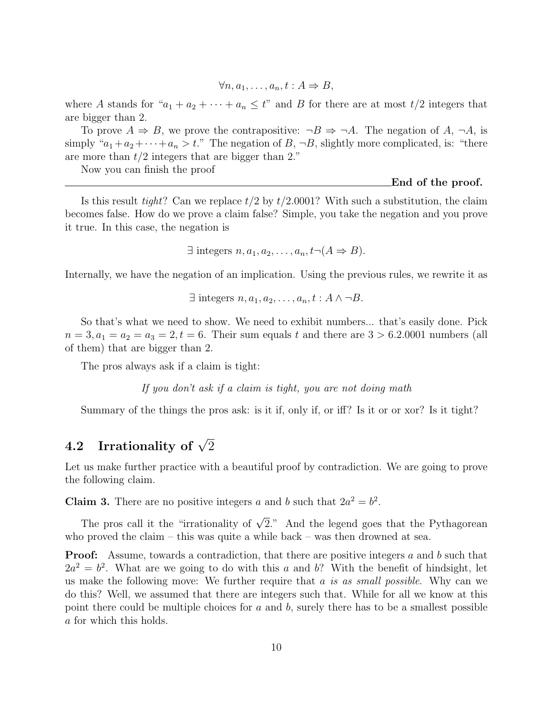$$
\forall n, a_1, \dots, a_n, t : A \Rightarrow B,
$$

where A stands for " $a_1 + a_2 + \cdots + a_n \leq t$ " and B for there are at most  $t/2$  integers that are bigger than 2.

To prove  $A \Rightarrow B$ , we prove the contrapositive:  $\neg B \Rightarrow \neg A$ . The negation of A,  $\neg A$ , is simply " $a_1 + a_2 + \cdots + a_n > t$ ." The negation of B,  $\neg B$ , slightly more complicated, is: "there are more than  $t/2$  integers that are bigger than 2."

Now you can finish the proof

End of the proof.

Is this result tight? Can we replace  $t/2$  by  $t/2.0001$ ? With such a substitution, the claim becomes false. How do we prove a claim false? Simple, you take the negation and you prove it true. In this case, the negation is

```
\exists integers n, a_1, a_2, \ldots, a_n, t \neg (A \Rightarrow B).
```
Internally, we have the negation of an implication. Using the previous rules, we rewrite it as

```
\exists integers n, a_1, a_2, \ldots, a_n, t : A \wedge \neg B.
```
So that's what we need to show. We need to exhibit numbers... that's easily done. Pick  $n = 3, a_1 = a_2 = a_3 = 2, t = 6$ . Their sum equals t and there are  $3 > 6.2.0001$  numbers (all of them) that are bigger than 2.

The pros always ask if a claim is tight:

If you don't ask if a claim is tight, you are not doing math

Summary of the things the pros ask: is it if, only if, or iff? Is it or or xor? Is it tight?

# 4.2 Irrationality of  $\sqrt{2}$

Let us make further practice with a beautiful proof by contradiction. We are going to prove the following claim.

**Claim 3.** There are no positive integers a and b such that  $2a^2 = b^2$ .

The pros call it the "irrationality of  $\sqrt{2}$ ." And the legend goes that the Pythagorean who proved the claim – this was quite a while back – was then drowned at sea.

Proof: Assume, towards a contradiction, that there are positive integers a and b such that  $2a^2 = b^2$ . What are we going to do with this a and b? With the benefit of hindsight, let us make the following move: We further require that  $a$  is as small possible. Why can we do this? Well, we assumed that there are integers such that. While for all we know at this point there could be multiple choices for  $a$  and  $b$ , surely there has to be a smallest possible a for which this holds.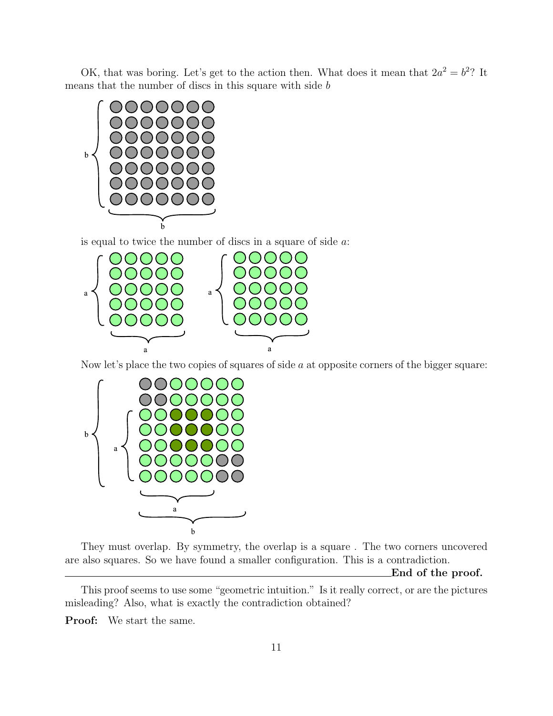OK, that was boring. Let's get to the action then. What does it mean that  $2a^2 = b^2$ ? It means that the number of discs in this square with side b







They must overlap. By symmetry, the overlap is a square . The two corners uncovered are also squares. So we have found a smaller configuration. This is a contradiction.

End of the proof.

This proof seems to use some "geometric intuition." Is it really correct, or are the pictures misleading? Also, what is exactly the contradiction obtained?

Proof: We start the same.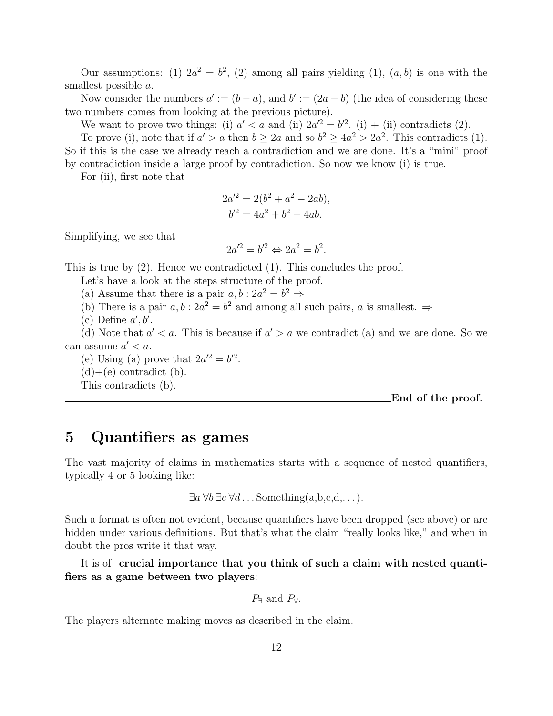Our assumptions: (1)  $2a^2 = b^2$ , (2) among all pairs yielding (1),  $(a, b)$  is one with the smallest possible a.

Now consider the numbers  $a' := (b - a)$ , and  $b' := (2a - b)$  (the idea of considering these two numbers comes from looking at the previous picture).

We want to prove two things: (i)  $a' < a$  and (ii)  $2a'^2 = b'^2$ . (i) + (ii) contradicts (2).

To prove (i), note that if  $a' > a$  then  $b \geq 2a$  and so  $b^2 \geq 4a^2 > 2a^2$ . This contradicts (1). So if this is the case we already reach a contradiction and we are done. It's a "mini" proof by contradiction inside a large proof by contradiction. So now we know (i) is true.

For (ii), first note that

$$
2a'^2 = 2(b^2 + a^2 - 2ab),
$$
  

$$
b'^2 = 4a^2 + b^2 - 4ab.
$$

Simplifying, we see that

$$
2a'^2 = b'^2 \Leftrightarrow 2a^2 = b^2.
$$

This is true by (2). Hence we contradicted (1). This concludes the proof.

Let's have a look at the steps structure of the proof.

(a) Assume that there is a pair  $a, b : 2a^2 = b^2 \Rightarrow$ 

(b) There is a pair  $a, b : 2a^2 = b^2$  and among all such pairs, a is smallest.  $\Rightarrow$ 

(c) Define  $a', b'$ .

(d) Note that  $a' < a$ . This is because if  $a' > a$  we contradict (a) and we are done. So we can assume  $a' < a$ .

(e) Using (a) prove that  $2a^2 = b^2$ .

 $(d)+(e)$  contradict  $(b)$ .

This contradicts (b).

End of the proof.

### 5 Quantifiers as games

The vast majority of claims in mathematics starts with a sequence of nested quantifiers, typically 4 or 5 looking like:

 $\exists a \forall b \exists c \forall d \dots$  Something  $(a, b, c, d, \dots)$ .

Such a format is often not evident, because quantifiers have been dropped (see above) or are hidden under various definitions. But that's what the claim "really looks like," and when in doubt the pros write it that way.

It is of crucial importance that you think of such a claim with nested quantifiers as a game between two players:

 $P$ <sup>∃</sup> and  $P$ <sup> $\forall$ </sup>.

The players alternate making moves as described in the claim.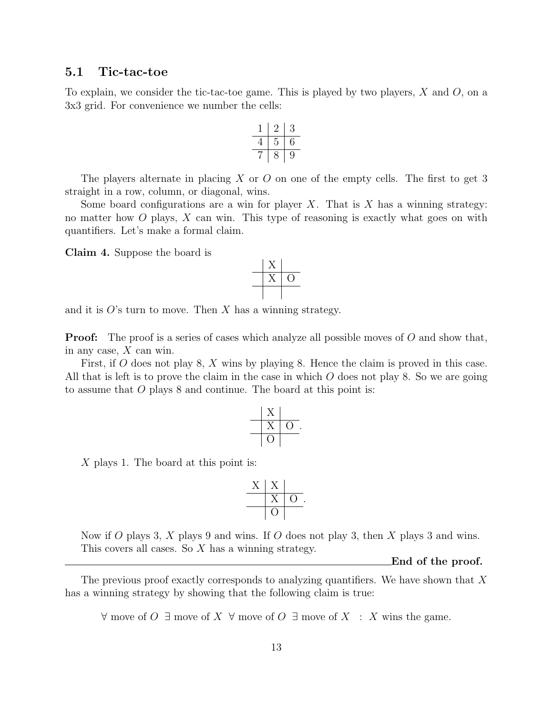### 5.1 Tic-tac-toe

To explain, we consider the tic-tac-toe game. This is played by two players,  $X$  and  $O$ , on a 3x3 grid. For convenience we number the cells:

$$
\begin{array}{c|c|c}\n1 & 2 & 3 \\
\hline\n4 & 5 & 6 \\
\hline\n7 & 8 & 9\n\end{array}
$$

The players alternate in placing  $X$  or  $O$  on one of the empty cells. The first to get 3 straight in a row, column, or diagonal, wins.

Some board configurations are a win for player  $X$ . That is  $X$  has a winning strategy: no matter how  $O$  plays,  $X$  can win. This type of reasoning is exactly what goes on with quantifiers. Let's make a formal claim.

Claim 4. Suppose the board is



and it is  $O$ 's turn to move. Then X has a winning strategy.

**Proof:** The proof is a series of cases which analyze all possible moves of O and show that, in any case,  $X$  can win.

First, if O does not play 8, X wins by playing 8. Hence the claim is proved in this case. All that is left is to prove the claim in the case in which  $O$  does not play 8. So we are going to assume that O plays 8 and continue. The board at this point is:

$$
\begin{array}{c|c}\n & X & \\
 \hline\n & X & 0 \\
 \hline\n & 0 & \\
 \end{array}
$$

X plays 1. The board at this point is:

$$
\begin{array}{c|c}\nX & X \\
\hline\nX & O \\
\hline\nO\n\end{array}
$$

Now if O plays 3, X plays 9 and wins. If O does not play 3, then X plays 3 and wins. This covers all cases. So X has a winning strategy.

End of the proof.

The previous proof exactly corresponds to analyzing quantifiers. We have shown that  $X$ has a winning strategy by showing that the following claim is true:

 $\forall$  move of O ∃ move of X  $\forall$  move of O ∃ move of X : X wins the game.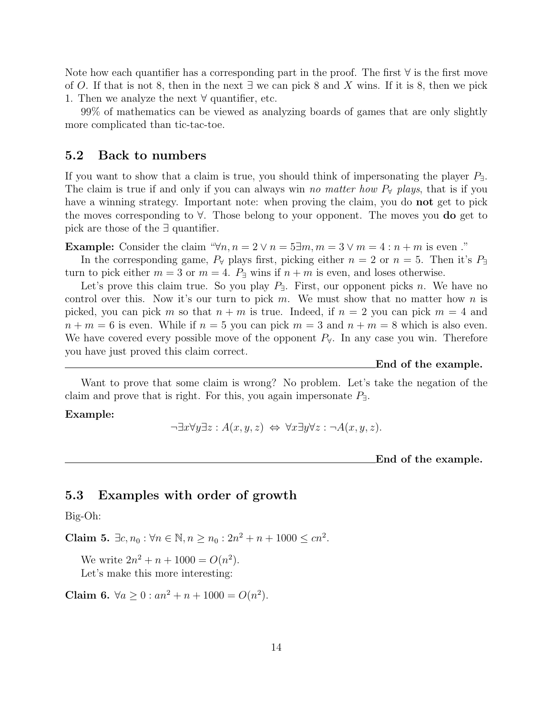Note how each quantifier has a corresponding part in the proof. The first  $\forall$  is the first move of O. If that is not 8, then in the next  $\exists$  we can pick 8 and X wins. If it is 8, then we pick 1. Then we analyze the next  $\forall$  quantifier, etc.

99% of mathematics can be viewed as analyzing boards of games that are only slightly more complicated than tic-tac-toe.

### 5.2 Back to numbers

If you want to show that a claim is true, you should think of impersonating the player  $P_{\exists}$ . The claim is true if and only if you can always win no matter how  $P_\forall$  plays, that is if you have a winning strategy. Important note: when proving the claim, you do **not** get to pick the moves corresponding to ∀. Those belong to your opponent. The moves you do get to pick are those of the ∃ quantifier.

**Example:** Consider the claim " $\forall n, n = 2 \lor n = 5$   $\exists m, m = 3 \lor m = 4 : n + m$  is even ."

In the corresponding game,  $P_\forall$  plays first, picking either  $n = 2$  or  $n = 5$ . Then it's  $P_\exists$ turn to pick either  $m = 3$  or  $m = 4$ .  $P_{\exists}$  wins if  $n + m$  is even, and loses otherwise.

Let's prove this claim true. So you play  $P_{\exists}$ . First, our opponent picks n. We have no control over this. Now it's our turn to pick m. We must show that no matter how n is picked, you can pick m so that  $n + m$  is true. Indeed, if  $n = 2$  you can pick  $m = 4$  and  $n + m = 6$  is even. While if  $n = 5$  you can pick  $m = 3$  and  $n + m = 8$  which is also even. We have covered every possible move of the opponent  $P_\forall$ . In any case you win. Therefore you have just proved this claim correct.

End of the example.

Want to prove that some claim is wrong? No problem. Let's take the negation of the claim and prove that is right. For this, you again impersonate  $P_{\exists}$ .

Example:

$$
\neg \exists x \forall y \exists z : A(x, y, z) \Leftrightarrow \forall x \exists y \forall z : \neg A(x, y, z).
$$

End of the example.

### 5.3 Examples with order of growth

Big-Oh:

Claim 5.  $\exists c, n_0 : \forall n \in \mathbb{N}, n \ge n_0 : 2n^2 + n + 1000 \le cn^2$ .

We write  $2n^2 + n + 1000 = O(n^2)$ .

Let's make this more interesting:

Claim 6.  $\forall a \geq 0 : an^2 + n + 1000 = O(n^2)$ .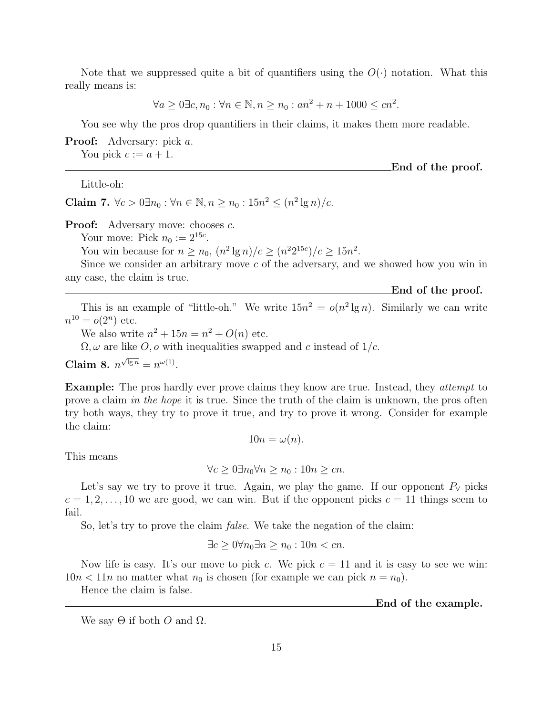Note that we suppressed quite a bit of quantifiers using the  $O(\cdot)$  notation. What this really means is:

 $\forall a \ge 0 \exists c, n_0 : \forall n \in \mathbb{N}, n \ge n_0 : an^2 + n + 1000 \le cn^2.$ 

You see why the pros drop quantifiers in their claims, it makes them more readable.

Proof: Adversary: pick a.

You pick  $c := a + 1$ .

Little-oh:

Claim 7.  $\forall c > 0 \exists n_0 : \forall n \in \mathbb{N}, n \ge n_0 : 15n^2 ≤ (n^2 \lg n)/c$ .

**Proof:** Adversary move: chooses  $c$ .

Your move: Pick  $n_0 := 2^{15c}$ .

You win because for  $n \ge n_0$ ,  $(n^2 \lg n)/c \ge (n^2 2^{15c})/c \ge 15n^2$ .

Since we consider an arbitrary move c of the adversary, and we showed how you win in any case, the claim is true.

End of the proof.

This is an example of "little-oh." We write  $15n^2 = o(n^2 \lg n)$ . Similarly we can write  $n^{10} = o(2^n)$  etc.

We also write  $n^2 + 15n = n^2 + O(n)$  etc.

 $\Omega, \omega$  are like O, o with inequalities swapped and c instead of  $1/c$ .

Claim 8.  $n^{\sqrt{\lg n}} = n^{\omega(1)}$ .

Example: The pros hardly ever prove claims they know are true. Instead, they *attempt* to prove a claim in the hope it is true. Since the truth of the claim is unknown, the pros often try both ways, they try to prove it true, and try to prove it wrong. Consider for example the claim:

$$
10n = \omega(n).
$$

This means

$$
\forall c \ge 0 \exists n_0 \forall n \ge n_0 : 10n \ge cn.
$$

Let's say we try to prove it true. Again, we play the game. If our opponent  $P_\forall$  picks  $c = 1, 2, \ldots, 10$  we are good, we can win. But if the opponent picks  $c = 11$  things seem to fail.

So, let's try to prove the claim *false*. We take the negation of the claim:

$$
\exists c \ge 0 \forall n_0 \exists n \ge n_0 : 10n < cn.
$$

Now life is easy. It's our move to pick c. We pick  $c = 11$  and it is easy to see we win:  $10n < 11n$  no matter what  $n_0$  is chosen (for example we can pick  $n = n_0$ ).

Hence the claim is false.

End of the example.

We say  $\Theta$  if both O and  $\Omega$ .

End of the proof.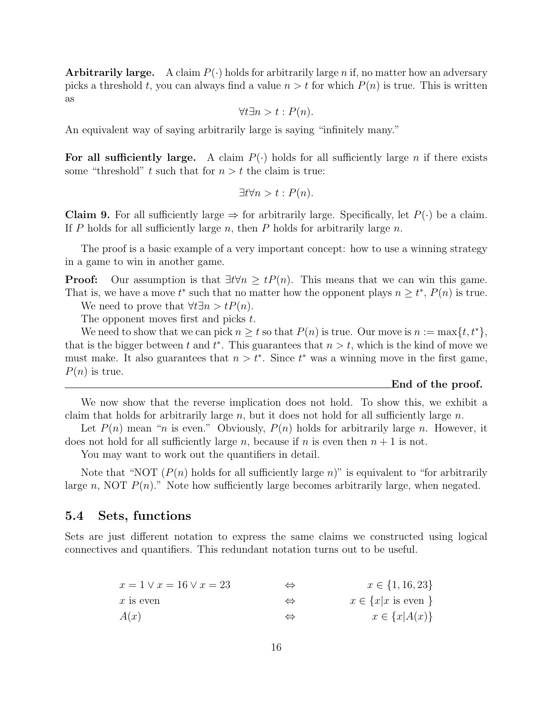**Arbitrarily large.** A claim  $P(\cdot)$  holds for arbitrarily large n if, no matter how an adversary picks a threshold t, you can always find a value  $n > t$  for which  $P(n)$  is true. This is written as

$$
\forall t \exists n > t : P(n).
$$

An equivalent way of saying arbitrarily large is saying "infinitely many."

For all sufficiently large. A claim  $P(\cdot)$  holds for all sufficiently large n if there exists some "threshold" t such that for  $n > t$  the claim is true:

$$
\exists t \forall n > t : P(n).
$$

**Claim 9.** For all sufficiently large  $\Rightarrow$  for arbitrarily large. Specifically, let  $P(\cdot)$  be a claim. If P holds for all sufficiently large  $n$ , then P holds for arbitrarily large  $n$ .

The proof is a basic example of a very important concept: how to use a winning strategy in a game to win in another game.

**Proof:** Our assumption is that  $\exists t \forall n \geq t P(n)$ . This means that we can win this game. That is, we have a move  $t^*$  such that no matter how the opponent plays  $n \geq t^*$ ,  $P(n)$  is true. We need to prove that  $\forall t \exists n > t P(n)$ .

The opponent moves first and picks t.

We need to show that we can pick  $n \geq t$  so that  $P(n)$  is true. Our move is  $n := \max\{t, t^*\},$ that is the bigger between t and  $t^*$ . This guarantees that  $n > t$ , which is the kind of move we must make. It also guarantees that  $n > t^*$ . Since  $t^*$  was a winning move in the first game,  $P(n)$  is true.

#### End of the proof.

We now show that the reverse implication does not hold. To show this, we exhibit a claim that holds for arbitrarily large  $n$ , but it does not hold for all sufficiently large  $n$ .

Let  $P(n)$  mean "n is even." Obviously,  $P(n)$  holds for arbitrarily large n. However, it does not hold for all sufficiently large n, because if n is even then  $n + 1$  is not.

You may want to work out the quantifiers in detail.

Note that "NOT  $(P(n)$  holds for all sufficiently large n)" is equivalent to "for arbitrarily large n, NOT  $P(n)$ ." Note how sufficiently large becomes arbitrarily large, when negated.

### 5.4 Sets, functions

Sets are just different notation to express the same claims we constructed using logical connectives and quantifiers. This redundant notation turns out to be useful.

| $x = 1 \vee x = 16 \vee x = 23$ | ⇔ | $x \in \{1, 16, 23\}$            |
|---------------------------------|---|----------------------------------|
| $x$ is even                     |   | $x \in \{x x \text{ is even }\}$ |
| A(x)                            |   | $x \in \{x A(x)\}\$              |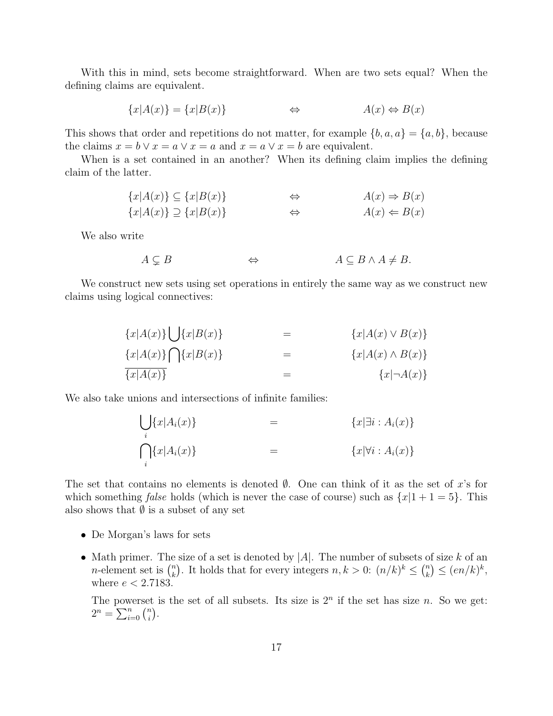With this in mind, sets become straightforward. When are two sets equal? When the defining claims are equivalent.

$$
\{x|A(x)\} = \{x|B(x)\}\qquad\qquad\Leftrightarrow\qquad\qquad A(x) \Leftrightarrow B(x)
$$

This shows that order and repetitions do not matter, for example  $\{b, a, a\} = \{a, b\}$ , because the claims  $x = b \vee x = a \vee x = a$  and  $x = a \vee x = b$  are equivalent.

When is a set contained in an another? When its defining claim implies the defining claim of the latter.

$$
{x|A(x)} \subseteq {x|B(x)} \qquad \Leftrightarrow \qquad A(x) \Rightarrow B(x)
$$
  

$$
{x|A(x)} \supseteq {x|B(x)}
$$
  $\Leftrightarrow \qquad A(x) \Leftarrow B(x)$ 

We also write

 $A \subseteq B$   $\Leftrightarrow$   $A \subseteq B \land A \neq B$ .

We construct new sets using set operations in entirely the same way as we construct new claims using logical connectives:

$$
{x|A(x)}\bigcup {x|B(x)} = {x|A(x) \vee B(x)}\n{x|A(x)}\bigcap {x|B(x)} = {x|A(x) \wedge B(x)}
$$

$$
\overline{\{x|A(x)\}}\qquad \qquad =\qquad \qquad \{x|\neg A(x)\}
$$

We also take unions and intersections of infinite families:

$$
\bigcup_{i} \{x | A_i(x)\} = \{x | \exists i : A_i(x)\}
$$
\n
$$
\bigcap_{i} \{x | A_i(x)\} = \{x | \forall i : A_i(x)\}
$$

The set that contains no elements is denoted  $\emptyset$ . One can think of it as the set of x's for which something false holds (which is never the case of course) such as  $\{x|1+1=5\}$ . This also shows that  $\emptyset$  is a subset of any set

- De Morgan's laws for sets
- Math primer. The size of a set is denoted by |A|. The number of subsets of size k of an math primer. The  $n$ -element set is  $\binom{n}{k}$  ${k \choose k}$ . It holds that for every integers  $n, k > 0$ :  $(n/k)^k \leq {n \choose k}$  ${k \choose k} \leq (en/k)^k,$ where  $e < 2.7183$ .

The powerset is the set of all subsets. Its size is  $2^n$  if the set has size *n*. So we get: The powerser<br>  $2^n = \sum_{i=0}^n {n \choose i}$  $\binom{n}{i}$ .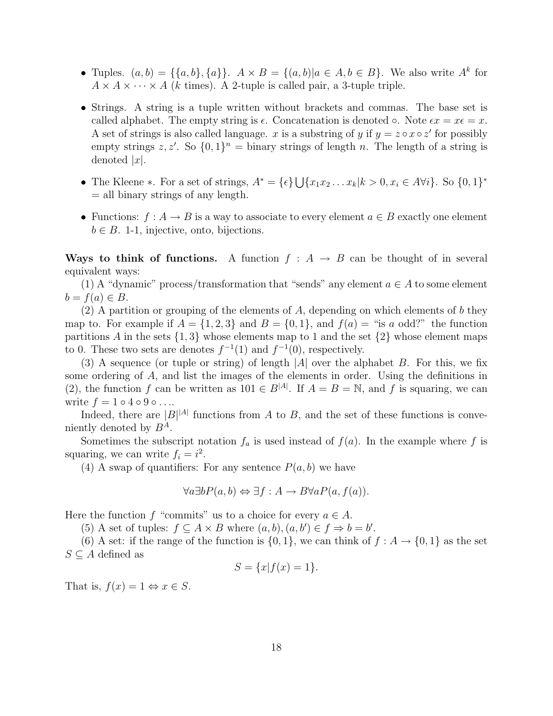- Tuples.  $(a, b) = \{\{a, b\}, \{a\}\}\$ .  $A \times B = \{(a, b) | a \in A, b \in B\}$ . We also write  $A^k$  for  $A \times A \times \cdots \times A$  (k times). A 2-tuple is called pair, a 3-tuple triple.
- Strings. A string is a tuple written without brackets and commas. The base set is called alphabet. The empty string is  $\epsilon$ . Concatenation is denoted  $\circ$ . Note  $\epsilon x = x \epsilon = x$ . A set of strings is also called language. x is a substring of y if  $y = z \circ x \circ z'$  for possibly empty strings  $z, z'$ . So  $\{0, 1\}$ <sup>n</sup> = binary strings of length n. The length of a string is denoted  $|x|$ .
- The Kleene  $\ast$ . For a set of strings,  $A^* = \{\epsilon\} \cup$  ${x_1x_2...x_k|k>0, x_i \in A\forall i}$ . So  ${0,1}^*$  $=$  all binary strings of any length.
- Functions:  $f : A \to B$  is a way to associate to every element  $a \in B$  exactly one element  $b \in B$ . 1-1, injective, onto, bijections.

Ways to think of functions. A function  $f : A \rightarrow B$  can be thought of in several equivalent ways:

(1) A "dynamic" process/transformation that "sends" any element  $a \in A$  to some element  $b = f(a) \in B$ .

(2) A partition or grouping of the elements of  $A$ , depending on which elements of b they map to. For example if  $A = \{1, 2, 3\}$  and  $B = \{0, 1\}$ , and  $f(a) =$  "is a odd?" the function partitions A in the sets  $\{1,3\}$  whose elements map to 1 and the set  $\{2\}$  whose element maps to 0. These two sets are denotes  $f^{-1}(1)$  and  $f^{-1}(0)$ , respectively.

(3) A sequence (or tuple or string) of length  $|A|$  over the alphabet B. For this, we fix some ordering of A, and list the images of the elements in order. Using the definitions in (2), the function f can be written as  $101 \in B^{|A|}$ . If  $A = B = \mathbb{N}$ , and f is squaring, we can write  $f = 1 \circ 4 \circ 9 \circ \ldots$ 

Indeed, there are  $|B|^{|A|}$  functions from A to B, and the set of these functions is conveniently denoted by  $B^A$ .

Sometimes the subscript notation  $f_a$  is used instead of  $f(a)$ . In the example where f is squaring, we can write  $f_i = i^2$ .

(4) A swap of quantifiers: For any sentence  $P(a, b)$  we have

$$
\forall a \exists b P(a, b) \Leftrightarrow \exists f : A \to B \forall a P(a, f(a)).
$$

Here the function f "commits" us to a choice for every  $a \in A$ .

(5) A set of tuples:  $f \subseteq A \times B$  where  $(a, b), (a, b') \in f \Rightarrow b = b'$ .

(6) A set: if the range of the function is  $\{0,1\}$ , we can think of  $f : A \to \{0,1\}$  as the set  $S \subseteq A$  defined as

$$
S = \{x | f(x) = 1\}.
$$

That is,  $f(x) = 1 \Leftrightarrow x \in S$ .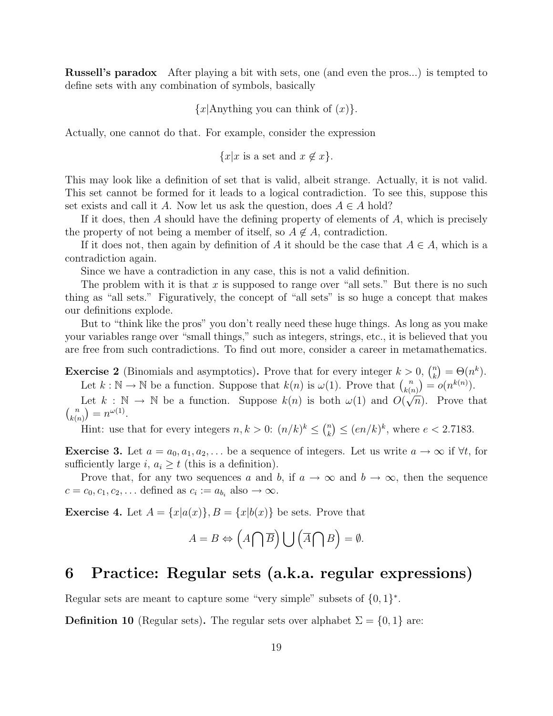Russell's paradox After playing a bit with sets, one (and even the pros...) is tempted to define sets with any combination of symbols, basically

 ${x|{\text{Anything you can think of }(x)}$ .

Actually, one cannot do that. For example, consider the expression

 ${x|x \text{ is a set and } x \notin x}.$ 

This may look like a definition of set that is valid, albeit strange. Actually, it is not valid. This set cannot be formed for it leads to a logical contradiction. To see this, suppose this set exists and call it A. Now let us ask the question, does  $A \in A$  hold?

If it does, then A should have the defining property of elements of  $A$ , which is precisely the property of not being a member of itself, so  $A \notin A$ , contradiction.

If it does not, then again by definition of A it should be the case that  $A \in A$ , which is a contradiction again.

Since we have a contradiction in any case, this is not a valid definition.

The problem with it is that x is supposed to range over "all sets." But there is no such thing as "all sets." Figuratively, the concept of "all sets" is so huge a concept that makes our definitions explode.

But to "think like the pros" you don't really need these huge things. As long as you make your variables range over "small things," such as integers, strings, etc., it is believed that you are free from such contradictions. To find out more, consider a career in metamathematics.

**Exercise 2** (Binomials and asymptotics). Prove that for every integer  $k > 0$ ,  $\binom{n}{k}$ k ¢  $\Theta(n^k) = \Theta(n^k).$ Let  $k : \mathbb{N} \to \mathbb{N}$  be a function. Suppose that  $k(n)$  is  $\omega(1)$ . Prove that  $\binom{n}{k(n)}$  $\binom{n}{k(n)} = o(n^{k(n)}).$ 

Let  $k : \mathbb{N} \to \mathbb{N}$  be a function. Suppose  $k(n)$  is both  $\omega(1)$  and  $O(\sqrt{n})$ . Prove that  $\frac{k(n)}{n}$  $\binom{n}{r}$  $\binom{n}{k(n)} = n^{\omega(1)}.$ ¢

Hint: use that for every integers  $n, k > 0$ :  $(n/k)^k \leq$  $\sqrt{n}$ k  $\leq (en/k)^k$ , where  $e < 2.7183$ .

**Exercise 3.** Let  $a = a_0, a_1, a_2, \ldots$  be a sequence of integers. Let us write  $a \to \infty$  if  $\forall t$ , for sufficiently large i,  $a_i \geq t$  (this is a definition).

Prove that, for any two sequences a and b, if  $a \to \infty$  and  $b \to \infty$ , then the sequence  $c = c_0, c_1, c_2, \dots$  defined as  $c_i := a_{b_i}$  also  $\to \infty$ .

**Exercise 4.** Let  $A = \{x | a(x)\}, B = \{x | b(x)\}$  be sets. Prove that

$$
A = B \Leftrightarrow \left(A \bigcap \overline{B}\right) \bigcup \left(\overline{A} \bigcap B\right) = \emptyset.
$$

### 6 Practice: Regular sets (a.k.a. regular expressions)

Regular sets are meant to capture some "very simple" subsets of  $\{0,1\}^*$ .

**Definition 10** (Regular sets). The regular sets over alphabet  $\Sigma = \{0, 1\}$  are: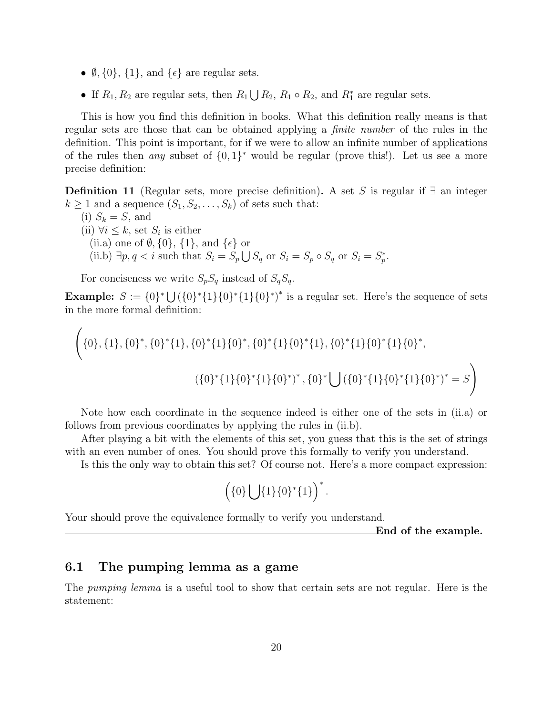- $\emptyset$ ,  $\{0\}$ ,  $\{1\}$ , and  $\{\epsilon\}$  are regular sets.
- If  $R_1, R_2$  are regular sets, then  $R_1$  $\bigcup R_2$ ,  $R_1 \circ R_2$ , and  $R_1^*$  are regular sets.

This is how you find this definition in books. What this definition really means is that regular sets are those that can be obtained applying a finite number of the rules in the definition. This point is important, for if we were to allow an infinite number of applications of the rules then *any* subset of  $\{0,1\}^*$  would be regular (prove this!). Let us see a more precise definition:

**Definition 11** (Regular sets, more precise definition). A set S is regular if  $\exists$  an integer  $k \geq 1$  and a sequence  $(S_1, S_2, \ldots, S_k)$  of sets such that:

(i)  $S_k = S$ , and (ii)  $\forall i \leq k$ , set  $S_i$  is either (ii.a) one of  $\emptyset$ ,  $\{0\}$ ,  $\{1\}$ , and  $\{\epsilon\}$  or (ii.b)  $\exists p, q \leq i$  such that  $S_i = S_p$ or<br>'  $S_q$  or  $S_i = S_p \circ S_q$  or  $S_i = S_p^*$ .

For conciseness we write  $S_pS_q$  instead of  $S_qS_q$ .

 $\overline{a}$ 

**Example:**  $S := \{0\}^* \cup (\{0\}^*\{1\}\{0\}^*)^*$  is a regular set. Here's the sequence of sets in the more formal definition:

$$
\{0\}, \{1\}, \{0\}^*, \{0\}^*\{1\}, \{0\}^*\{1\}\{0\}^*, \{0\}^*\{1\}\{0\}^*\{1\}, \{0\}^*\{1\}\{0\}^*\{1\}\{0\}^*,
$$

$$
(\{0\}^*\{1\}\{0\}^*\{1\}\{0\}^*)^*, \{0\}^*\bigcup (\{0\}^*\{1\}\{0\}^*\{1\}\{0\}^*)^* = S
$$

Note how each coordinate in the sequence indeed is either one of the sets in (ii.a) or follows from previous coordinates by applying the rules in (ii.b).

After playing a bit with the elements of this set, you guess that this is the set of strings with an even number of ones. You should prove this formally to verify you understand.

Is this the only way to obtain this set? Of course not. Here's a more compact expression:

$$
\left(\{0\}\bigcup\{1\}\{0\}^*\{1\}\right)^*.
$$

Your should prove the equivalence formally to verify you understand.

End of the example.

### 6.1 The pumping lemma as a game

The pumping lemma is a useful tool to show that certain sets are not regular. Here is the statement: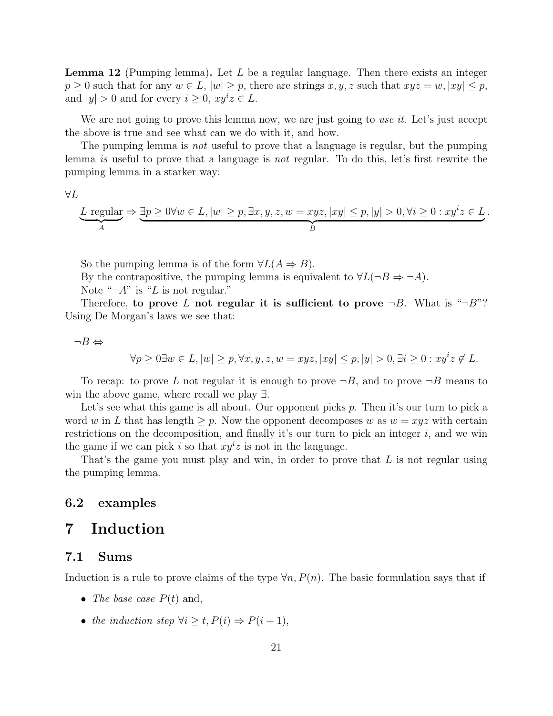**Lemma 12** (Pumping lemma). Let  $L$  be a regular language. Then there exists an integer  $p \geq 0$  such that for any  $w \in L$ ,  $|w| \geq p$ , there are strings x, y, z such that  $xyz = w$ ,  $|xy| \leq p$ , and  $|y| > 0$  and for every  $i \geq 0$ ,  $xy^i z \in L$ .

We are not going to prove this lemma now, we are just going to use it. Let's just accept the above is true and see what can we do with it, and how.

The pumping lemma is *not* useful to prove that a language is regular, but the pumping lemma is useful to prove that a language is not regular. To do this, let's first rewrite the pumping lemma in a starker way:

∀L

$$
\underbrace{L \text{ regular}}_A \Rightarrow \underbrace{\exists p \geq 0 \forall w \in L, |w| \geq p, \exists x, y, z, w = xyz, |xy| \leq p, |y| > 0, \forall i \geq 0 : xy^i z \in L}_{B}.
$$

So the pumping lemma is of the form  $\forall L(A \Rightarrow B)$ .

By the contrapositive, the pumping lemma is equivalent to  $\forall L(\neg B \Rightarrow \neg A)$ .

Note " $\neg A$ " is "L is not regular."

Therefore, to prove L not regular it is sufficient to prove  $\neg B$ . What is " $\neg B$ "? Using De Morgan's laws we see that:

$$
\neg B \Leftrightarrow
$$

$$
\forall p \geq 0 \exists w \in L, |w| \geq p, \forall x, y, z, w = xyz, |xy| \leq p, |y| > 0, \exists i \geq 0 : xy^{i} z \notin L.
$$

To recap: to prove L not regular it is enough to prove  $\neg B$ , and to prove  $\neg B$  means to win the above game, where recall we play ∃.

Let's see what this game is all about. Our opponent picks  $p$ . Then it's our turn to pick a word w in L that has length  $\geq p$ . Now the opponent decomposes w as  $w = xyz$  with certain restrictions on the decomposition, and finally it's our turn to pick an integer  $i$ , and we win the game if we can pick i so that  $xy^iz$  is not in the language.

That's the game you must play and win, in order to prove that  $L$  is not regular using the pumping lemma.

### 6.2 examples

## 7 Induction

### 7.1 Sums

Induction is a rule to prove claims of the type  $\forall n, P(n)$ . The basic formulation says that if

- The base case  $P(t)$  and,
- the induction step  $\forall i \geq t, P(i) \Rightarrow P(i+1),$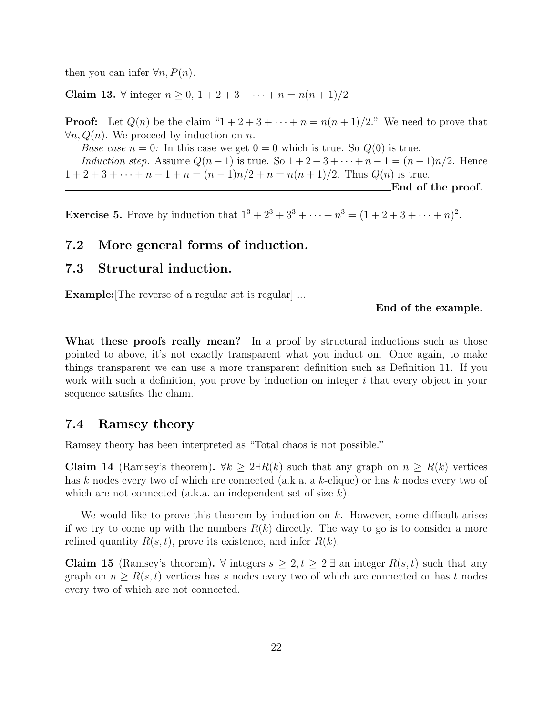then you can infer  $\forall n, P(n)$ .

Claim 13. ∀ integer  $n > 0$ ,  $1 + 2 + 3 + \cdots + n = n(n + 1)/2$ 

**Proof:** Let  $Q(n)$  be the claim " $1+2+3+\cdots+n=n(n+1)/2$ ." We need to prove that  $\forall n, Q(n)$ . We proceed by induction on n.

*Base case*  $n = 0$ : In this case we get  $0 = 0$  which is true. So  $Q(0)$  is true. Induction step. Assume  $Q(n-1)$  is true. So  $1+2+3+\cdots+n-1=(n-1)n/2$ . Hence  $1 + 2 + 3 + \cdots + n - 1 + n = (n - 1)n/2 + n = n(n + 1)/2$ . Thus  $Q(n)$  is true. End of the proof.

**Exercise 5.** Prove by induction that  $1^3 + 2^3 + 3^3 + \cdots + n^3 = (1 + 2 + 3 + \cdots + n)^2$ .

### 7.2 More general forms of induction.

### 7.3 Structural induction.

Example: The reverse of a regular set is regular ...

End of the example.

What these proofs really mean? In a proof by structural inductions such as those pointed to above, it's not exactly transparent what you induct on. Once again, to make things transparent we can use a more transparent definition such as Definition 11. If you work with such a definition, you prove by induction on integer  $i$  that every object in your sequence satisfies the claim.

### 7.4 Ramsey theory

Ramsey theory has been interpreted as "Total chaos is not possible."

Claim 14 (Ramsey's theorem).  $\forall k \geq 2 \exists R(k)$  such that any graph on  $n \geq R(k)$  vertices has k nodes every two of which are connected (a.k.a. a k-clique) or has k nodes every two of which are not connected (a.k.a. an independent set of size k).

We would like to prove this theorem by induction on  $k$ . However, some difficult arises if we try to come up with the numbers  $R(k)$  directly. The way to go is to consider a more refined quantity  $R(s, t)$ , prove its existence, and infer  $R(k)$ .

Claim 15 (Ramsey's theorem).  $\forall$  integers  $s \geq 2$ ,  $t \geq 2$  an integer  $R(s,t)$  such that any graph on  $n \geq R(s,t)$  vertices has s nodes every two of which are connected or has t nodes every two of which are not connected.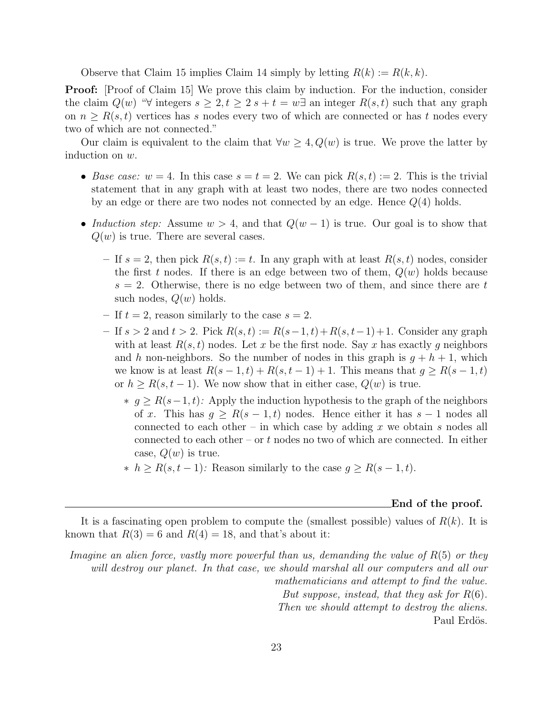Observe that Claim 15 implies Claim 14 simply by letting  $R(k) := R(k, k)$ .

**Proof:** [Proof of Claim 15] We prove this claim by induction. For the induction, consider the claim  $Q(w)$  " $\forall$  integers  $s \geq 2$ ,  $t \geq 2$  s +  $t = w \exists$  an integer  $R(s, t)$  such that any graph on  $n \geq R(s,t)$  vertices has s nodes every two of which are connected or has t nodes every two of which are not connected."

Our claim is equivalent to the claim that  $\forall w \geq 4, Q(w)$  is true. We prove the latter by induction on w.

- Base case:  $w = 4$ . In this case  $s = t = 2$ . We can pick  $R(s, t) := 2$ . This is the trivial statement that in any graph with at least two nodes, there are two nodes connected by an edge or there are two nodes not connected by an edge. Hence  $Q(4)$  holds.
- Induction step: Assume  $w > 4$ , and that  $Q(w 1)$  is true. Our goal is to show that  $Q(w)$  is true. There are several cases.
	- If  $s = 2$ , then pick  $R(s,t) := t$ . In any graph with at least  $R(s,t)$  nodes, consider the first t nodes. If there is an edge between two of them,  $Q(w)$  holds because  $s = 2$ . Otherwise, there is no edge between two of them, and since there are t such nodes,  $Q(w)$  holds.
	- If  $t = 2$ , reason similarly to the case  $s = 2$ .
	- $-$  If  $s > 2$  and  $t > 2$ . Pick  $R(s, t) := R(s-1, t) + R(s, t-1) + 1$ . Consider any graph with at least  $R(s,t)$  nodes. Let x be the first node. Say x has exactly q neighbors and h non-neighbors. So the number of nodes in this graph is  $g + h + 1$ , which we know is at least  $R(s-1,t) + R(s,t-1) + 1$ . This means that  $g \geq R(s-1,t)$ or  $h \geq R(s, t-1)$ . We now show that in either case,  $Q(w)$  is true.
		- $∗ g ≥ R(s-1,t)$ : Apply the induction hypothesis to the graph of the neighbors of x. This has  $g \geq R(s-1,t)$  nodes. Hence either it has  $s-1$  nodes all connected to each other – in which case by adding x we obtain s nodes all connected to each other – or t nodes no two of which are connected. In either case,  $Q(w)$  is true.
		- $\hat{\tau}$  k h ≥ R(s, t 1): Reason similarly to the case  $g \ge R(s-1,t)$ .

#### End of the proof.

It is a fascinating open problem to compute the (smallest possible) values of  $R(k)$ . It is known that  $R(3) = 6$  and  $R(4) = 18$ , and that's about it:

Imagine an alien force, vastly more powerful than us, demanding the value of  $R(5)$  or they will destroy our planet. In that case, we should marshal all our computers and all our mathematicians and attempt to find the value. But suppose, instead, that they ask for  $R(6)$ . Then we should attempt to destroy the aliens. Paul Erdös.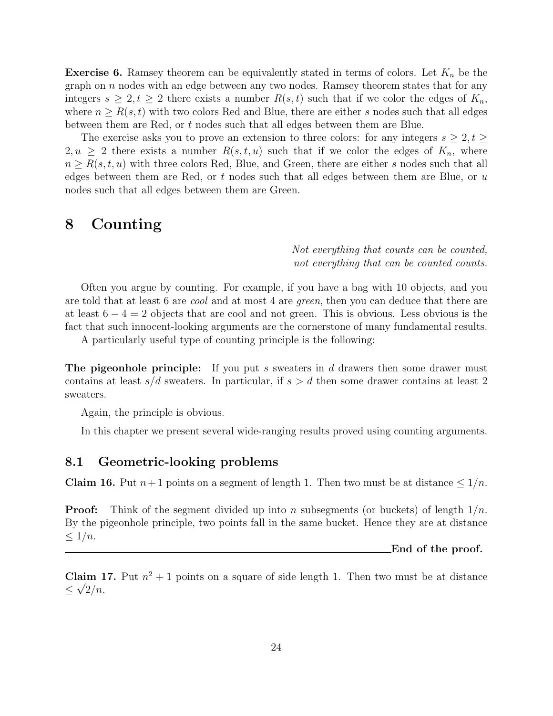**Exercise 6.** Ramsey theorem can be equivalently stated in terms of colors. Let  $K_n$  be the graph on  $n$  nodes with an edge between any two nodes. Ramsey theorem states that for any integers  $s \geq 2, t \geq 2$  there exists a number  $R(s, t)$  such that if we color the edges of  $K_n$ , where  $n \geq R(s,t)$  with two colors Red and Blue, there are either s nodes such that all edges between them are Red, or t nodes such that all edges between them are Blue.

The exercise asks you to prove an extension to three colors: for any integers  $s \geq 2, t \geq 1$  $2, u \geq 2$  there exists a number  $R(s, t, u)$  such that if we color the edges of  $K_n$ , where  $n \geq R(s,t,u)$  with three colors Red, Blue, and Green, there are either s nodes such that all edges between them are Red, or t nodes such that all edges between them are Blue, or u nodes such that all edges between them are Green.

### 8 Counting

Not everything that counts can be counted, not everything that can be counted counts.

Often you argue by counting. For example, if you have a bag with 10 objects, and you are told that at least 6 are cool and at most 4 are green, then you can deduce that there are at least  $6 - 4 = 2$  objects that are cool and not green. This is obvious. Less obvious is the fact that such innocent-looking arguments are the cornerstone of many fundamental results.

A particularly useful type of counting principle is the following:

The pigeonhole principle: If you put s sweaters in  $d$  drawers then some drawer must contains at least  $s/d$  sweaters. In particular, if  $s > d$  then some drawer contains at least 2 sweaters.

Again, the principle is obvious.

In this chapter we present several wide-ranging results proved using counting arguments.

### 8.1 Geometric-looking problems

**Claim 16.** Put  $n+1$  points on a segment of length 1. Then two must be at distance  $\leq 1/n$ .

**Proof:** Think of the segment divided up into n subsegments (or buckets) of length  $1/n$ . By the pigeonhole principle, two points fall in the same bucket. Hence they are at distance  $\leq 1/n$ .

End of the proof.

**Claim 17.** Put  $n^2 + 1$  points on a square of side length 1. Then two must be at distance  $\leq \sqrt{2}/n$ .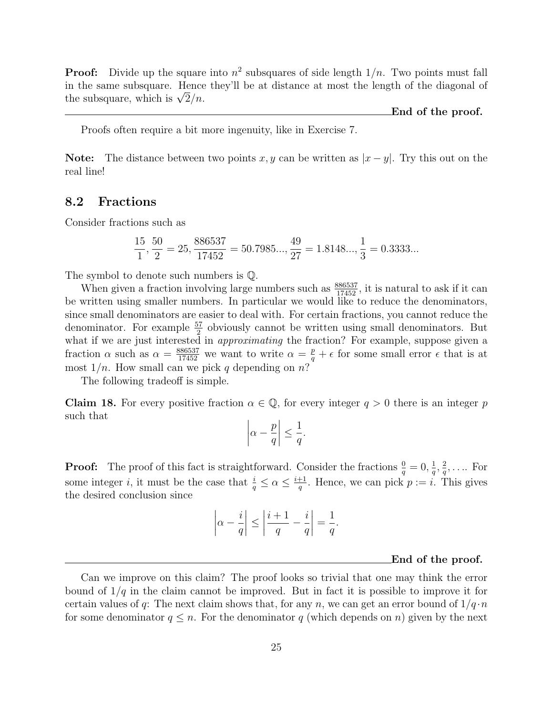**Proof:** Divide up the square into  $n^2$  subsquares of side length  $1/n$ . Two points must fall in the same subsquare. Hence they'll be at distance at most the length of the diagonal of in the same subsquare. Hence<br>the subsquare, which is  $\sqrt{2}/n$ .

End of the proof.

Proofs often require a bit more ingenuity, like in Exercise 7.

Note: The distance between two points x, y can be written as  $|x-y|$ . Try this out on the real line!

### 8.2 Fractions

Consider fractions such as

$$
\frac{15}{1}, \frac{50}{2} = 25, \frac{886537}{17452} = 50.7985..., \frac{49}{27} = 1.8148..., \frac{1}{3} = 0.3333...
$$

The symbol to denote such numbers is Q.

When given a fraction involving large numbers such as  $\frac{886537}{17452}$ , it is natural to ask if it can be written using smaller numbers. In particular we would like to reduce the denominators, since small denominators are easier to deal with. For certain fractions, you cannot reduce the denominator. For example  $\frac{57}{2}$  obviously cannot be written using small denominators. But what if we are just interested in approximating the fraction? For example, suppose given a fraction  $\alpha$  such as  $\alpha = \frac{886537}{17452}$  we want to write  $\alpha = \frac{p}{q} + \epsilon$  for some small error  $\epsilon$  that is at most  $1/n$ . How small can we pick q depending on n?

The following tradeoff is simple.

**Claim 18.** For every positive fraction  $\alpha \in \mathbb{Q}$ , for every integer  $q > 0$  there is an integer p such that  $\overline{a}$  $\overline{a}$ 

$$
\left|\alpha - \frac{p}{q}\right| \le \frac{1}{q}.
$$

**Proof:** The proof of this fact is straightforward. Consider the fractions  $\frac{0}{q} = 0$ ,  $\frac{1}{q}$  $\frac{1}{q}$ ,  $\frac{2}{q}$  $\frac{2}{q}, \ldots$  For some integer *i*, it must be the case that  $\frac{i}{q} \leq \alpha \leq \frac{i+1}{q}$  $\frac{+1}{q}$ . Hence, we can pick  $p := i$ . This gives the desired conclusion since

$$
\left|\alpha - \frac{i}{q}\right| \le \left|\frac{i+1}{q} - \frac{i}{q}\right| = \frac{1}{q}.
$$

#### End of the proof.

Can we improve on this claim? The proof looks so trivial that one may think the error bound of  $1/q$  in the claim cannot be improved. But in fact it is possible to improve it for certain values of q: The next claim shows that, for any n, we can get an error bound of  $1/q \cdot n$ for some denominator  $q \leq n$ . For the denominator q (which depends on n) given by the next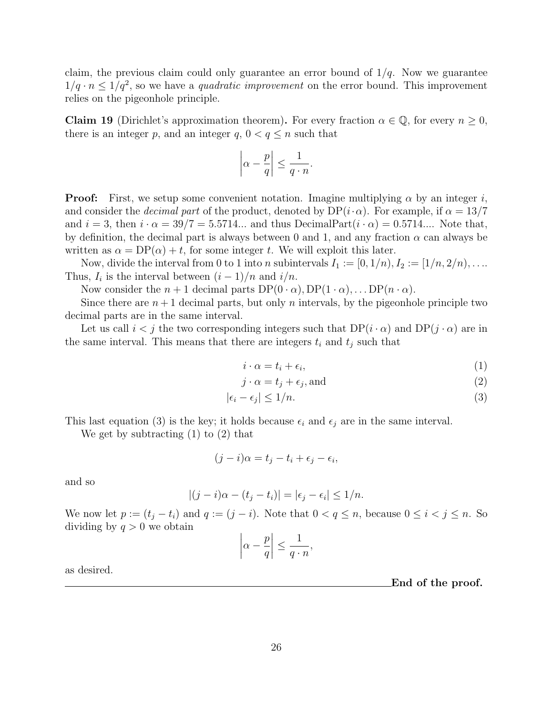claim, the previous claim could only guarantee an error bound of  $1/q$ . Now we guarantee  $1/q \cdot n \leq 1/q^2$ , so we have a *quadratic improvement* on the error bound. This improvement relies on the pigeonhole principle.

**Claim 19** (Dirichlet's approximation theorem). For every fraction  $\alpha \in \mathbb{Q}$ , for every  $n \geq 0$ , there is an integer p, and an integer q,  $0 < q \le n$  such that

$$
\left|\alpha - \frac{p}{q}\right| \le \frac{1}{q \cdot n}.
$$

**Proof:** First, we setup some convenient notation. Imagine multiplying  $\alpha$  by an integer i, and consider the *decimal part* of the product, denoted by  $DP(i \cdot \alpha)$ . For example, if  $\alpha = 13/7$ and  $i = 3$ , then  $i \cdot \alpha = 39/7 = 5.5714...$  and thus DecimalPart $(i \cdot \alpha) = 0.5714...$  Note that, by definition, the decimal part is always between 0 and 1, and any fraction  $\alpha$  can always be written as  $\alpha = DP(\alpha) + t$ , for some integer t. We will exploit this later.

Now, divide the interval from 0 to 1 into n subintervals  $I_1 := [0, 1/n), I_2 := [1/n, 2/n), \ldots$ Thus,  $I_i$  is the interval between  $(i-1)/n$  and  $i/n$ .

Now consider the  $n+1$  decimal parts  $DP(0 \cdot \alpha)$ ,  $DP(1 \cdot \alpha)$ , ...  $DP(n \cdot \alpha)$ .

Since there are  $n+1$  decimal parts, but only n intervals, by the pigeonhole principle two decimal parts are in the same interval.

Let us call  $i < j$  the two corresponding integers such that  $DP(i \cdot \alpha)$  and  $DP(j \cdot \alpha)$  are in the same interval. This means that there are integers  $t_i$  and  $t_j$  such that

$$
i \cdot \alpha = t_i + \epsilon_i,\tag{1}
$$

$$
j \cdot \alpha = t_j + \epsilon_j, \text{and} \tag{2}
$$

$$
|\epsilon_i - \epsilon_j| \le 1/n. \tag{3}
$$

This last equation (3) is the key; it holds because  $\epsilon_i$  and  $\epsilon_j$  are in the same interval.

We get by subtracting (1) to (2) that

$$
(j - i)\alpha = t_j - t_i + \epsilon_j - \epsilon_i,
$$

and so

$$
|(j - i)\alpha - (t_j - t_i)| = |\epsilon_j - \epsilon_i| \le 1/n.
$$

We now let  $p := (t_j - t_i)$  and  $q := (j - i)$ . Note that  $0 < q \le n$ , because  $0 \le i < j \le n$ . So dividing by  $q > 0$  we obtain  $\overline{a}$  $\overline{a}$ 

$$
\left|\alpha - \frac{p}{q}\right| \le \frac{1}{q \cdot n},
$$

as desired.

End of the proof.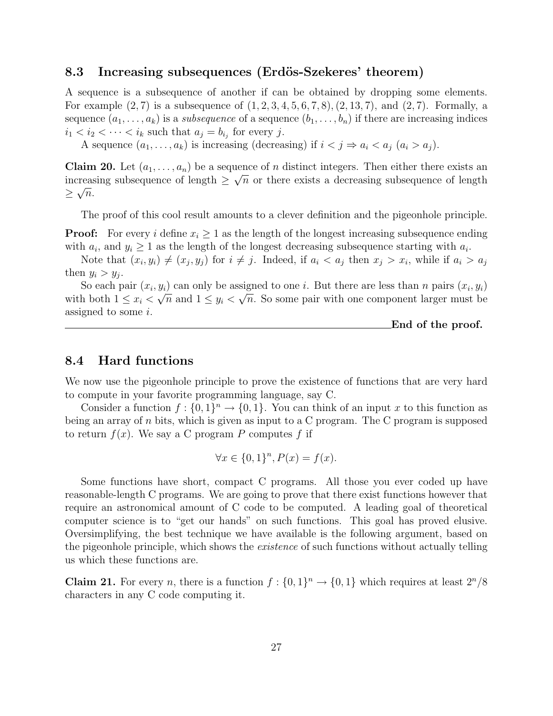### 8.3 Increasing subsequences (Erdös-Szekeres' theorem)

A sequence is a subsequence of another if can be obtained by dropping some elements. For example  $(2, 7)$  is a subsequence of  $(1, 2, 3, 4, 5, 6, 7, 8), (2, 13, 7),$  and  $(2, 7)$ . Formally, a sequence  $(a_1, \ldots, a_k)$  is a *subsequence* of a sequence  $(b_1, \ldots, b_n)$  if there are increasing indices  $i_1 < i_2 < \cdots < i_k$  such that  $a_j = b_{i_j}$  for every j.

A sequence  $(a_1, \ldots, a_k)$  is increasing (decreasing) if  $i < j \Rightarrow a_i < a_j$   $(a_i > a_j)$ .

**Claim 20.** Let  $(a_1, \ldots, a_n)$  be a sequence of *n* distinct integers. Then either there exists an increasing subsequence of length  $\geq \sqrt{n}$  or there exists a decreasing subsequence of length  $\geq \sqrt{n}$ .

The proof of this cool result amounts to a clever definition and the pigeonhole principle.

**Proof:** For every i define  $x_i \geq 1$  as the length of the longest increasing subsequence ending with  $a_i$ , and  $y_i \geq 1$  as the length of the longest decreasing subsequence starting with  $a_i$ .

Note that  $(x_i, y_i) \neq (x_j, y_j)$  for  $i \neq j$ . Indeed, if  $a_i < a_j$  then  $x_j > x_i$ , while if  $a_i > a_j$ then  $y_i > y_j$ .

So each pair  $(x_i, y_i)$  can only be assigned to one *i*. But there are less than *n* pairs  $(x_i, y_i)$ with both  $1 \leq x_i < \sqrt{n}$  and  $1 \leq y_i < \sqrt{n}$ . So some pair with one component larger must be assigned to some i.

End of the proof.

### 8.4 Hard functions

We now use the pigeonhole principle to prove the existence of functions that are very hard to compute in your favorite programming language, say C.

Consider a function  $f: \{0,1\}^n \to \{0,1\}$ . You can think of an input x to this function as being an array of  $n$  bits, which is given as input to a C program. The C program is supposed to return  $f(x)$ . We say a C program P computes f if

$$
\forall x \in \{0,1\}^n, P(x) = f(x).
$$

Some functions have short, compact C programs. All those you ever coded up have reasonable-length C programs. We are going to prove that there exist functions however that require an astronomical amount of C code to be computed. A leading goal of theoretical computer science is to "get our hands" on such functions. This goal has proved elusive. Oversimplifying, the best technique we have available is the following argument, based on the pigeonhole principle, which shows the *existence* of such functions without actually telling us which these functions are.

**Claim 21.** For every *n*, there is a function  $f: \{0,1\}^n \to \{0,1\}$  which requires at least  $2^n/8$ characters in any C code computing it.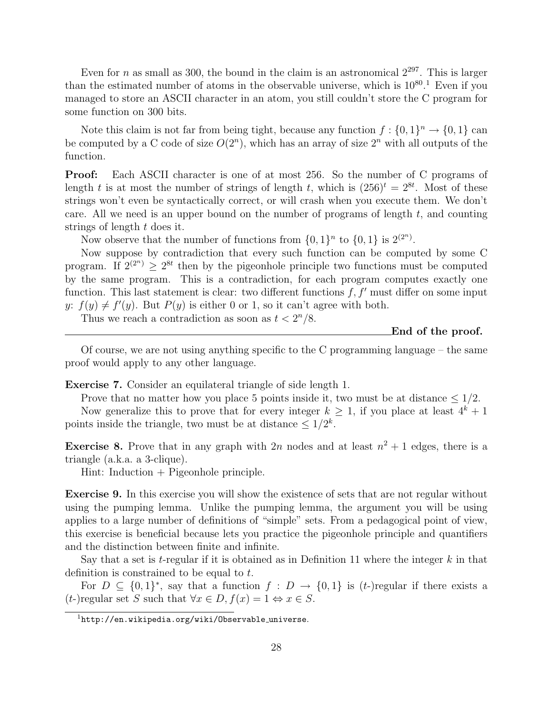Even for n as small as 300, the bound in the claim is an astronomical  $2^{297}$ . This is larger than the estimated number of atoms in the observable universe, which is  $10^{80}$ .<sup>1</sup> Even if you managed to store an ASCII character in an atom, you still couldn't store the C program for some function on 300 bits.

Note this claim is not far from being tight, because any function  $f: \{0,1\}^n \to \{0,1\}$  can be computed by a C code of size  $O(2^n)$ , which has an array of size  $2^n$  with all outputs of the function.

Proof: Each ASCII character is one of at most 256. So the number of C programs of length t is at most the number of strings of length t, which is  $(256)^t = 2^{8t}$ . Most of these strings won't even be syntactically correct, or will crash when you execute them. We don't care. All we need is an upper bound on the number of programs of length  $t$ , and counting strings of length t does it.

Now observe that the number of functions from  $\{0,1\}^n$  to  $\{0,1\}$  is  $2^{(2^n)}$ .

Now suppose by contradiction that every such function can be computed by some C program. If  $2^{(2^n)} \geq 2^{8t}$  then by the pigeonhole principle two functions must be computed by the same program. This is a contradiction, for each program computes exactly one function. This last statement is clear: two different functions  $f, f'$  must differ on some input y:  $f(y) \neq f'(y)$ . But  $P(y)$  is either 0 or 1, so it can't agree with both.

Thus we reach a contradiction as soon as  $t < 2<sup>n</sup>/8$ .

End of the proof.

Of course, we are not using anything specific to the C programming language – the same proof would apply to any other language.

Exercise 7. Consider an equilateral triangle of side length 1.

Prove that no matter how you place 5 points inside it, two must be at distance  $\leq 1/2$ . Now generalize this to prove that for every integer  $k \geq 1$ , if you place at least  $4^k + 1$ points inside the triangle, two must be at distance  $\leq 1/2^k$ .

**Exercise 8.** Prove that in any graph with 2n nodes and at least  $n^2 + 1$  edges, there is a triangle (a.k.a. a 3-clique).

Hint: Induction + Pigeonhole principle.

Exercise 9. In this exercise you will show the existence of sets that are not regular without using the pumping lemma. Unlike the pumping lemma, the argument you will be using applies to a large number of definitions of "simple" sets. From a pedagogical point of view, this exercise is beneficial because lets you practice the pigeonhole principle and quantifiers and the distinction between finite and infinite.

Say that a set is t-regular if it is obtained as in Definition 11 where the integer  $k$  in that definition is constrained to be equal to t.

For  $D \subseteq \{0,1\}^*$ , say that a function  $f : D \to \{0,1\}$  is  $(t-)$ regular if there exists a  $(t-)$ regular set S such that  $\forall x \in D$ ,  $f(x) = 1 \Leftrightarrow x \in S$ .

 $1$ http://en.wikipedia.org/wiki/Observable\_universe.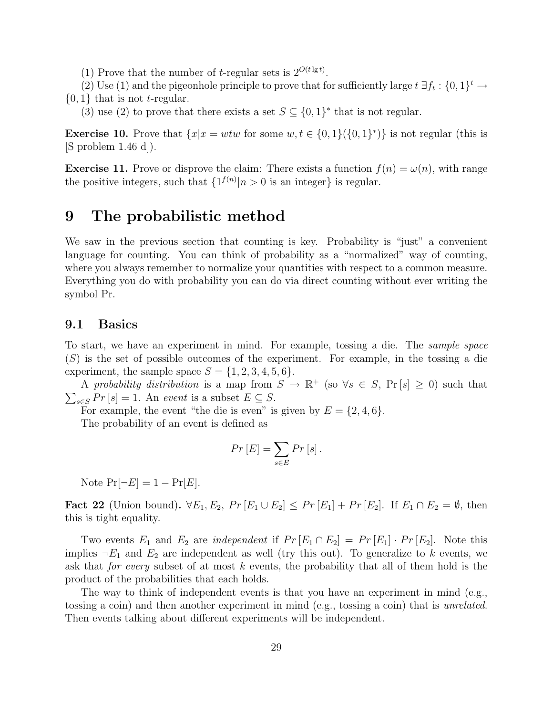(1) Prove that the number of *t*-regular sets is  $2^{O(t \lg t)}$ .

(2) Use (1) and the pigeonhole principle to prove that for sufficiently large  $t \exists f_t : \{0,1\}^t \rightarrow$ 

 $\{0, 1\}$  that is not *t*-regular.

(3) use (2) to prove that there exists a set  $S \subseteq \{0,1\}^*$  that is not regular.

**Exercise 10.** Prove that  $\{x | x = wtw \text{ for some } w, t \in \{0,1\}(\{0,1\}^*)\}$  is not regular (this is  $[S$  problem 1.46 d.

**Exercise 11.** Prove or disprove the claim: There exists a function  $f(n) = \omega(n)$ , with range the positive integers, such that  $\{1^{f(n)}|n>0$  is an integer} is regular.

### 9 The probabilistic method

We saw in the previous section that counting is key. Probability is "just" a convenient language for counting. You can think of probability as a "normalized" way of counting, where you always remember to normalize your quantities with respect to a common measure. Everything you do with probability you can do via direct counting without ever writing the symbol Pr.

### 9.1 Basics

To start, we have an experiment in mind. For example, tossing a die. The sample space  $(S)$  is the set of possible outcomes of the experiment. For example, in the tossing a die experiment, the sample space  $S = \{1, 2, 3, 4, 5, 6\}.$ 

A probability distribution is a map from  $S \to \mathbb{R}^+$  (so  $\forall s \in S$ ,  $\Pr[s] \geq 0$ ) such that  $\overline{ }$  $s \in S$  Pr [s] = 1. An event is a subset  $E \subseteq S$ .

For example, the event "the die is even" is given by  $E = \{2, 4, 6\}.$ 

The probability of an event is defined as

$$
Pr\left[E\right] = \sum_{s \in E} Pr\left[s\right].
$$

Note  $Pr[\neg E] = 1 - Pr[E]$ .

Fact 22 (Union bound).  $\forall E_1, E_2, Pr [E_1 \cup E_2] \leq Pr [E_1] + Pr [E_2]$ . If  $E_1 \cap E_2 = \emptyset$ , then this is tight equality.

Two events  $E_1$  and  $E_2$  are *independent* if  $Pr [E_1 \cap E_2] = Pr [E_1] \cdot Pr [E_2]$ . Note this implies  $\neg E_1$  and  $E_2$  are independent as well (try this out). To generalize to k events, we ask that *for every* subset of at most  $k$  events, the probability that all of them hold is the product of the probabilities that each holds.

The way to think of independent events is that you have an experiment in mind (e.g., tossing a coin) and then another experiment in mind (e.g., tossing a coin) that is unrelated. Then events talking about different experiments will be independent.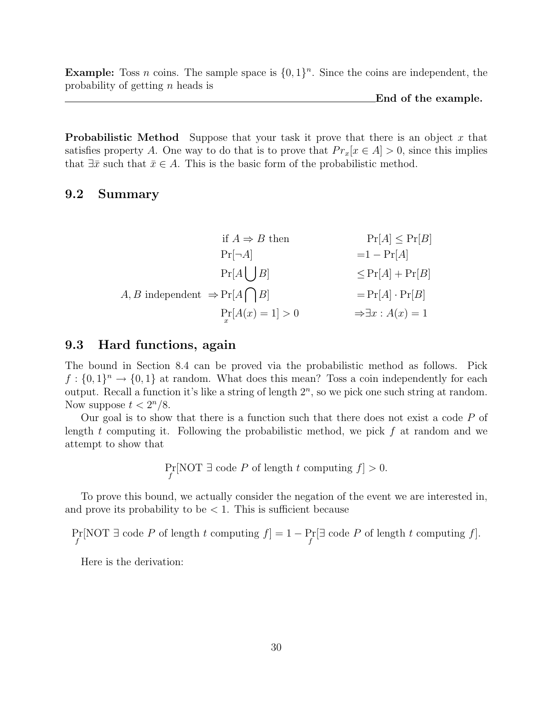**Example:** Toss *n* coins. The sample space is  $\{0, 1\}^n$ . Since the coins are independent, the probability of getting n heads is

End of the example.

**Probabilistic Method** Suppose that your task it prove that there is an object x that satisfies property A. One way to do that is to prove that  $Pr_x[x \in A] > 0$ , since this implies that  $\exists \bar{x}$  such that  $\bar{x} \in A$ . This is the basic form of the probabilistic method.

### 9.2 Summary

|                                             | if $A \Rightarrow B$ then | $Pr[A] \leq Pr[B]$                 |
|---------------------------------------------|---------------------------|------------------------------------|
| $Pr[\neg A]$                                |                           | $=1-\Pr[A]$                        |
| $\Pr[A \mid B]$                             |                           | $\leq Pr[A] + Pr[B]$               |
| A, B independent $\Rightarrow Pr[A \cap B]$ |                           | $=Pr[A] \cdot Pr[B]$               |
|                                             | $Pr[A(x) = 1] > 0$        | $\Rightarrow \exists x : A(x) = 1$ |

### 9.3 Hard functions, again

The bound in Section 8.4 can be proved via the probabilistic method as follows. Pick  $f: \{0,1\}^n \to \{0,1\}$  at random. What does this mean? Toss a coin independently for each output. Recall a function it's like a string of length  $2<sup>n</sup>$ , so we pick one such string at random. Now suppose  $t < 2^n/8$ .

Our goal is to show that there is a function such that there does not exist a code  $P$  of length t computing it. Following the probabilistic method, we pick  $f$  at random and we attempt to show that

 $Pr_{f}[\text{NOT} \exists \text{ code } P \text{ of length } t \text{ computing } f] > 0.$ 

To prove this bound, we actually consider the negation of the event we are interested in, and prove its probability to be  $< 1$ . This is sufficient because

 $Pr[\text{NOT} \exists \text{ code } P \text{ of length } t \text{ computing } f] = 1 - Pr[\exists \text{ code } P \text{ of length } t \text{ computing } f].$ 

Here is the derivation: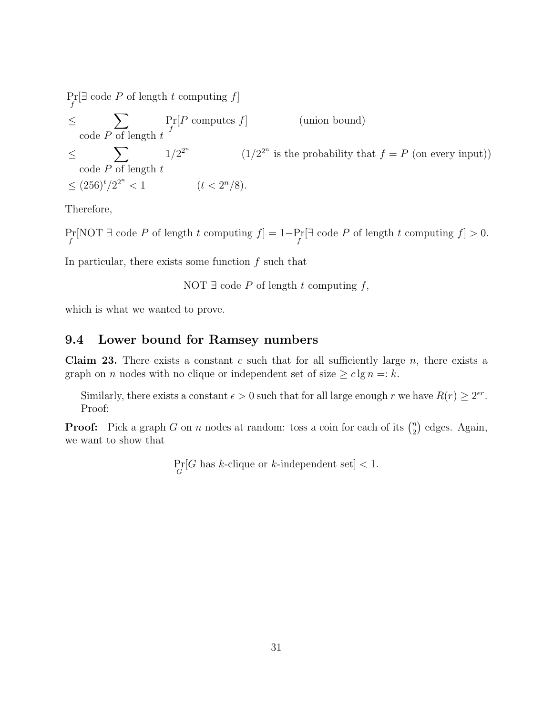$Pr_f[\exists \text{ code } P \text{ of length } t \text{ computing } f]$ ≤  $\overline{\phantom{a}}$ code  $P$  of length  $t$ Pr f (union bound) ≤  $\overline{\phantom{a}}$ code  $P$  of length  $t$  $1/2^{2^n}$  (1/2<sup>2<sup>n</sup></sup> is the probability that  $f = P$  (on every input))  $\leq (256)^t/2^{2^n}$  $< 1$   $(t < 2<sup>n</sup>/8).$ 

Therefore,

 $Pr_f[NOT \rexists code P \text{ of length } t \text{ computing } f] = 1 - Pr[\exists code P \text{ of length } t \text{ computing } f] > 0.$ 

In particular, there exists some function  $f$  such that

NOT  $\exists$  code P of length t computing f,

which is what we wanted to prove.

### 9.4 Lower bound for Ramsey numbers

**Claim 23.** There exists a constant c such that for all sufficiently large  $n$ , there exists a graph on *n* nodes with no clique or independent set of size  $\geq c \lg n =: k$ .

Similarly, there exists a constant  $\epsilon > 0$  such that for all large enough r we have  $R(r) \geq 2^{er}$ . Proof:

**Proof:** Pick a graph G on n nodes at random: toss a coin for each of its  $\binom{n}{2}$ 2 ¢ edges. Again, we want to show that

 $Pr_G[G]$  has k-clique or k-independent set] < 1.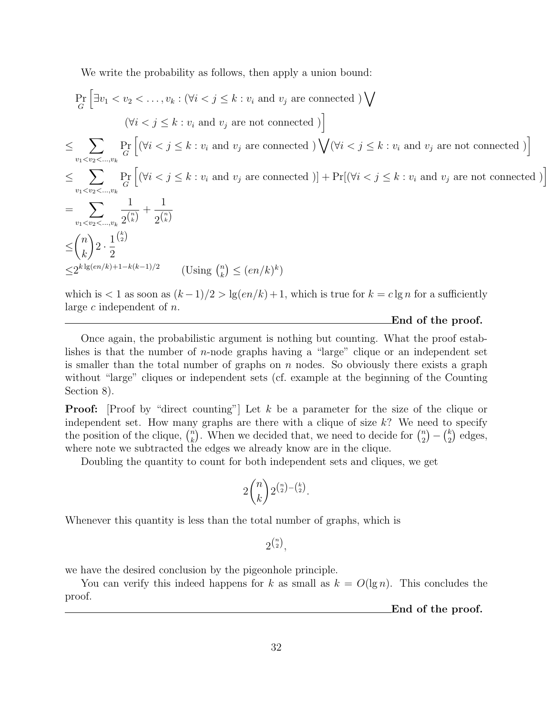We write the probability as follows, then apply a union bound:

$$
\Pr_{G} \left[ \exists v_1 < v_2 < \dots, v_k : (\forall i < j \leq k : v_i \text{ and } v_j \text{ are connected}) \bigvee (\forall i < j \leq k : v_i \text{ and } v_j \text{ are not connected}) \right]
$$
\n
$$
\leq \sum_{v_1 < v_2 < \dots, v_k} \Pr_{G} \left[ (\forall i < j \leq k : v_i \text{ and } v_j \text{ are connected}) \bigvee (\forall i < j \leq k : v_i \text{ and } v_j \text{ are not connected}) \right]
$$
\n
$$
\leq \sum_{v_1 < v_2 < \dots, v_k} \Pr_{G} \left[ (\forall i < j \leq k : v_i \text{ and } v_j \text{ are connected}) \right] + \Pr[(\forall i < j \leq k : v_i \text{ and } v_j \text{ are not connected}) \right]
$$
\n
$$
= \sum_{v_1 < v_2 < \dots, v_k} \frac{1}{2\binom{n}{k}} + \frac{1}{2\binom{n}{k}}
$$
\n
$$
\leq \binom{n}{k} 2 \cdot \frac{1}{2} \cdot \frac{1}{2}
$$
\n
$$
\leq 2^{k \lg(en/k) + 1 - k(k-1)/2} \qquad \text{(Using } \binom{n}{k} \leq (en/k)^k)
$$
\nwhich is  $\leq 1$  as seen as  $(h-1)/2 > \lg(\alpha n / k) + 1$ , which is true for  $h = \text{sign for a sufficiently } \text{supf}(x) \text{ is the right } \text{sup}(x) \text{ is the right } \text{sup}(x) \text{ is the right } \text{sup}(x) \text{ is the right } \text{sup}(x) \text{ is the right } \text{sup}(x) \text{ is the right } \text{sup}(x) \text{ is the right } \text{sup}(x) \text{ is the right } \text{sup}(x) \text{ is the right } \text{sup}(x) \text{ is the right } \text{sup}(x) \text{ is the right } \text{sup}(x) \text{ is the right } \text{sup}(x) \text{ is the right } \text{sup}(x) \text{ is the right } \text{sup}(x) \text{ is the right } \text{sup}(x) \text{ is the right } \text{sup}(x) \text{ is the right } \text{sup}(x) \text{ is the right$ 

which is  $\lt 1$  as soon as  $(k-1)/2 > \lg(en/k) + 1$ , which is true for  $k = c \lg n$  for a sufficiently large  $c$  independent of  $n$ .

#### End of the proof.

Once again, the probabilistic argument is nothing but counting. What the proof establishes is that the number of n-node graphs having a "large" clique or an independent set is smaller than the total number of graphs on  $n$  nodes. So obviously there exists a graph without "large" cliques or independent sets (cf. example at the beginning of the Counting Section 8).

**Proof:** [Proof by "direct counting"] Let k be a parameter for the size of the clique or independent set. How many graphs are there with a clique of size k? We need to specify maependent set. How many<br>the position of the clique,  $\binom{n}{k}$ by graphs are there with a chque of size  $\kappa$ : we need  $\kappa$ ). When we decided that, we need to decide for  $\binom{n}{2}$  $\binom{n}{2} - \binom{k}{2}$  $_{2}^{k}$ ) edges, where note we subtracted the edges we already know are in the clique.

Doubling the quantity to count for both independent sets and cliques, we get

$$
2\binom{n}{k} 2^{\binom{n}{2}-\binom{k}{2}}.
$$

Whenever this quantity is less than the total number of graphs, which is

 $2^{\binom{n}{2}},$ 

we have the desired conclusion by the pigeonhole principle.

You can verify this indeed happens for k as small as  $k = O(\lg n)$ . This concludes the proof.

End of the proof.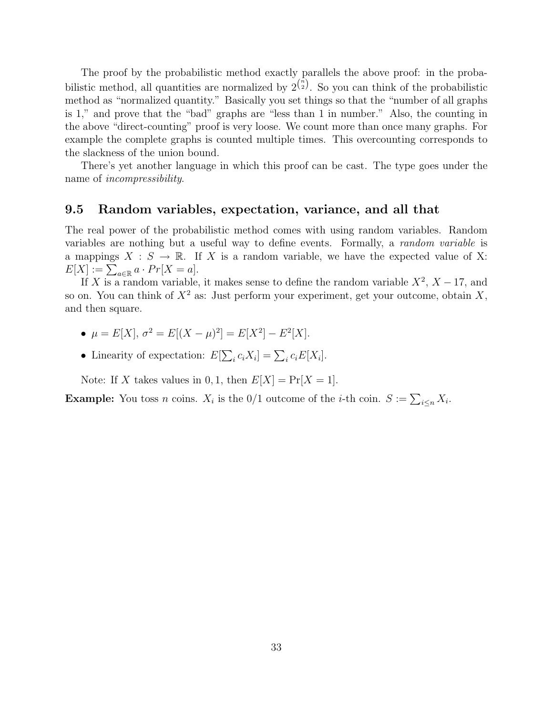The proof by the probabilistic method exactly parallels the above proof: in the probabilistic method, all quantities are normalized by  $2^{n \choose 2}$ . So you can think of the probabilistic method as "normalized quantity." Basically you set things so that the "number of all graphs is 1," and prove that the "bad" graphs are "less than 1 in number." Also, the counting in the above "direct-counting" proof is very loose. We count more than once many graphs. For example the complete graphs is counted multiple times. This overcounting corresponds to the slackness of the union bound.

There's yet another language in which this proof can be cast. The type goes under the name of incompressibility.

### 9.5 Random variables, expectation, variance, and all that

The real power of the probabilistic method comes with using random variables. Random variables are nothing but a useful way to define events. Formally, a random variable is a mappings  $X : S \to \mathbb{R}$ . If X is a random variable, we have the expected value of X: a mappings  $\Lambda : S \to \mathbb{R}$ .<br>  $E[X] := \sum_{a \in \mathbb{R}} a \cdot Pr[X = a]$ .

If X is a random variable, it makes sense to define the random variable  $X^2$ ,  $X - 17$ , and so on. You can think of  $X^2$  as: Just perform your experiment, get your outcome, obtain X, and then square.

- $\mu = E[X], \sigma^2 = E[(X \mu)^2] = E[X^2] E^2[X].$
- Linearity of expectation:  $E$  $\overline{ }$  $_i c_i X_i$ ] =  $\sum_i c_i E[X_i]$ .

Note: If X takes values in 0, 1, then  $E[X] = Pr[X = 1]$ .

**Example:** You toss *n* coins.  $X_i$  is the 0/1 outcome of the *i*-th coin.  $S := \sum_{i \leq n} X_i$ .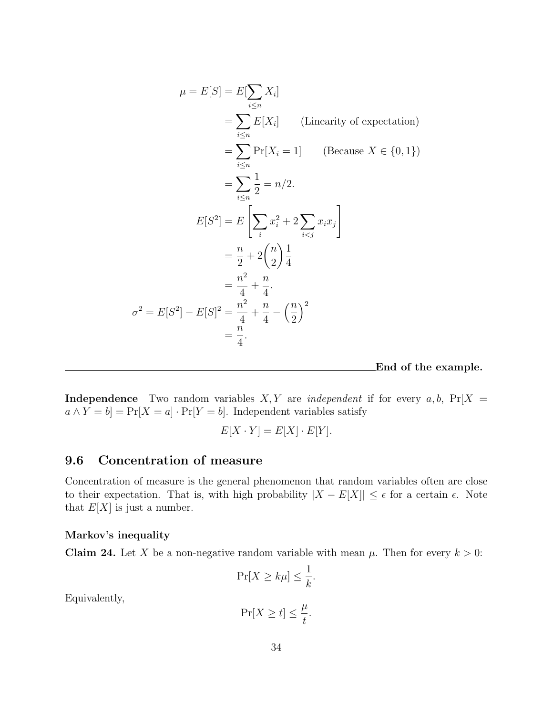$$
\mu = E[S] = E[\sum_{i \le n} X_i]
$$
  
\n
$$
= \sum_{i \le n} E[X_i]
$$
 (Linearity of expectation)  
\n
$$
= \sum_{i \le n} \Pr[X_i = 1]
$$
 (Because  $X \in \{0, 1\}$ )  
\n
$$
= \sum_{i \le n} \frac{1}{2} = n/2.
$$
  
\n
$$
E[S^2] = E\left[\sum_i x_i^2 + 2 \sum_{i < j} x_i x_j\right]
$$
  
\n
$$
= \frac{n}{2} + 2\binom{n}{2} \frac{1}{4}
$$
  
\n
$$
= \frac{n^2}{4} + \frac{n}{4}.
$$
  
\n
$$
\sigma^2 = E[S^2] - E[S]^2 = \frac{n^2}{4} + \frac{n}{4} - \left(\frac{n}{2}\right)^2
$$
  
\n
$$
= \frac{n}{4}.
$$

End of the example.

**Independence** Two random variables  $X, Y$  are *independent* if for every  $a, b$ ,  $Pr[X =$  $a \wedge Y = b$  = Pr[X = a] · Pr[Y = b]. Independent variables satisfy

$$
E[X \cdot Y] = E[X] \cdot E[Y].
$$

### 9.6 Concentration of measure

Concentration of measure is the general phenomenon that random variables often are close to their expectation. That is, with high probability  $|X - E[X]| \leq \epsilon$  for a certain  $\epsilon$ . Note that  $E[X]$  is just a number.

#### Markov's inequality

**Claim 24.** Let X be a non-negative random variable with mean  $\mu$ . Then for every  $k > 0$ :

$$
\Pr[X \ge k\mu] \le \frac{1}{k}.
$$

Equivalently,

$$
\Pr[X \ge t] \le \frac{\mu}{t}.
$$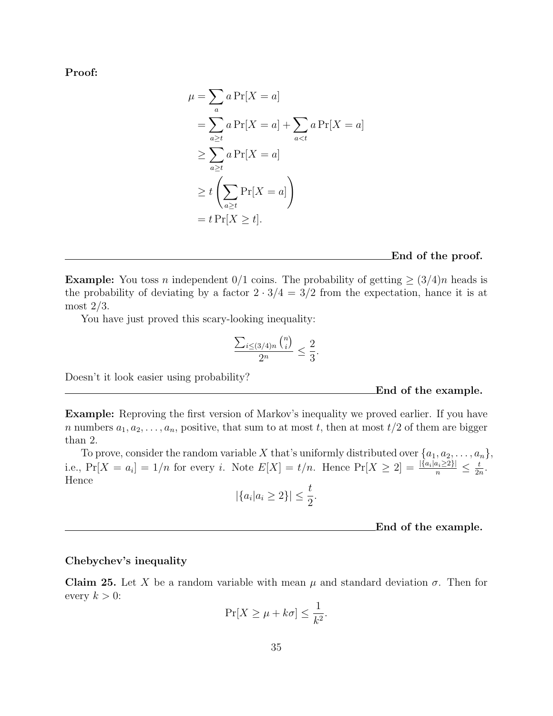Proof:

$$
\mu = \sum_{a} a \Pr[X = a]
$$
  
=  $\sum_{a \ge t} a \Pr[X = a] + \sum_{a < t} a \Pr[X = a]$   
 $\ge \sum_{a \ge t} a \Pr[X = a]$   
 $\ge t \left( \sum_{a \ge t} \Pr[X = a] \right)$   
=  $t \Pr[X \ge t].$ 

#### End of the proof.

**Example:** You toss n independent  $0/1$  coins. The probability of getting  $\geq (3/4)n$  heads is the probability of deviating by a factor  $2 \cdot 3/4 = 3/2$  from the expectation, hance it is at most 2/3.

You have just proved this scary-looking inequality:

$$
\frac{\sum_{i\leq (3/4)n} {n \choose i}}{2^n} \leq \frac{2}{3}.
$$

Doesn't it look easier using probability?

#### End of the example.

Example: Reproving the first version of Markov's inequality we proved earlier. If you have n numbers  $a_1, a_2, \ldots, a_n$ , positive, that sum to at most t, then at most  $t/2$  of them are bigger than 2.

To prove, consider the random variable X that's uniformly distributed over  $\{a_1, a_2, \ldots, a_n\}$ , i.e.,  $Pr[X = a_i] = 1/n$  for every i. Note  $E[X] = t/n$ . Hence  $Pr[X \ge 2] = \frac{|{a_i | a_i \ge 2}|}{n} \le \frac{t}{2n}$  $\frac{t}{2n}$  . Hence

$$
|\{a_i|a_i\geq 2\}|\leq \frac{t}{2}.
$$

#### End of the example.

### Chebychev's inequality

Claim 25. Let X be a random variable with mean  $\mu$  and standard deviation  $\sigma$ . Then for every  $k > 0$ :

$$
\Pr[X \ge \mu + k\sigma] \le \frac{1}{k^2}.
$$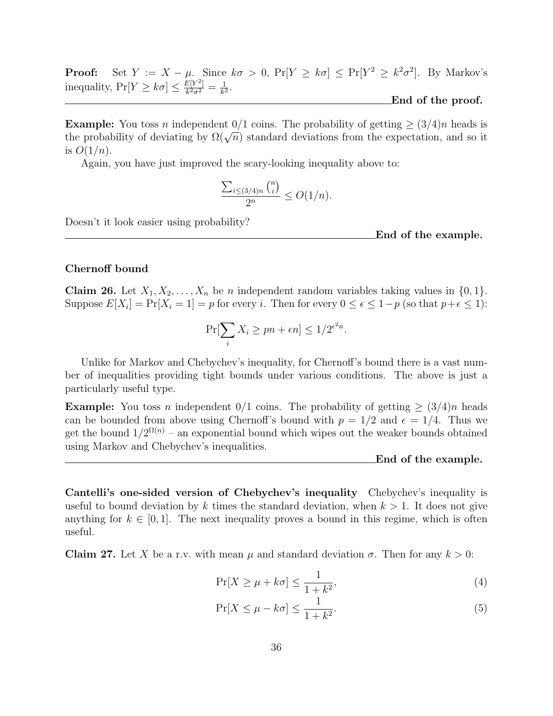**Proof:** Set  $Y := X - \mu$ . Since  $k\sigma > 0$ ,  $Pr[Y \ge k\sigma] \le Pr[Y^2 \ge k^2\sigma^2]$ . By Markov's inequality,  $Pr[Y \geq k\sigma] \leq \frac{E[Y^2]}{k^2\sigma^2}$  $\frac{E[Y^2]}{k^2\sigma^2}=\frac{1}{k^2}$  $\frac{1}{k^2}$ . End of the proof.

**Example:** You toss n independent  $0/1$  coins. The probability of getting  $\geq (3/4)n$  heads is **EXAMPLE:** FOU toss *n* independent  $0/1$  coms. The probability of getting  $\geq (3/4)n$  heads is the probability of deviating by  $\Omega(\sqrt{n})$  standard deviations from the expectation, and so it is  $O(1/n)$ .

Again, you have just improved the scary-looking inequality above to:

$$
\frac{\sum_{i\leq (3/4)n} {n \choose i}}{2^n} \leq O(1/n).
$$

Doesn't it look easier using probability?

End of the example.

### Chernoff bound

**Claim 26.** Let  $X_1, X_2, \ldots, X_n$  be n independent random variables taking values in  $\{0, 1\}$ . Suppose  $E[X_i] = Pr[X_i = 1] = p$  for every i. Then for every  $0 \le \epsilon \le 1-p$  (so that  $p+\epsilon \le 1$ ):

$$
\Pr[\sum_{i} X_i \ge pn + \epsilon n] \le 1/2^{\epsilon^2 n}.
$$

Unlike for Markov and Chebychev's inequality, for Chernoff's bound there is a vast number of inequalities providing tight bounds under various conditions. The above is just a particularly useful type.

**Example:** You toss n independent  $0/1$  coins. The probability of getting  $\geq (3/4)n$  heads can be bounded from above using Chernoff's bound with  $p = 1/2$  and  $\epsilon = 1/4$ . Thus we get the bound  $1/2^{\Omega(n)}$  – an exponential bound which wipes out the weaker bounds obtained using Markov and Chebychev's inequalities.

End of the example.

Cantelli's one-sided version of Chebychev's inequality Chebychev's inequality is useful to bound deviation by k times the standard deviation, when  $k > 1$ . It does not give anything for  $k \in [0, 1]$ . The next inequality proves a bound in this regime, which is often useful.

Claim 27. Let X be a r.v. with mean  $\mu$  and standard deviation  $\sigma$ . Then for any  $k > 0$ :

$$
\Pr[X \ge \mu + k\sigma] \le \frac{1}{1 + k^2},\tag{4}
$$

$$
\Pr[X \le \mu - k\sigma] \le \frac{1}{1 + k^2}.\tag{5}
$$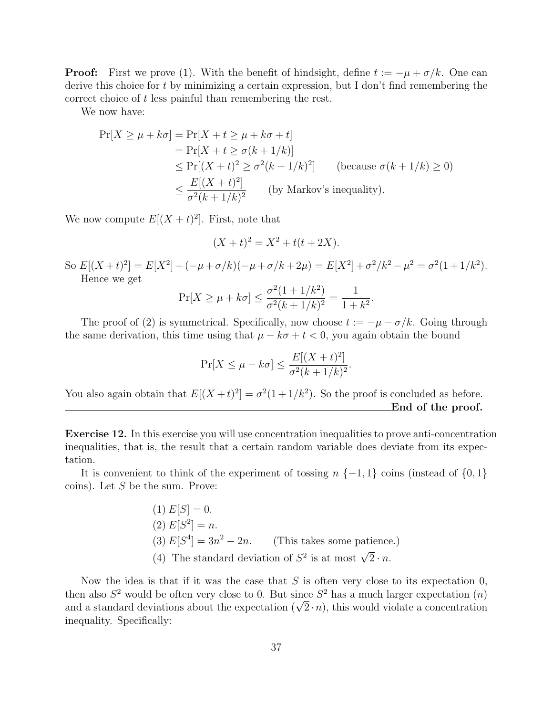**Proof:** First we prove (1). With the benefit of hindsight, define  $t := -\mu + \sigma/k$ . One can derive this choice for t by minimizing a certain expression, but I don't find remembering the correct choice of t less painful than remembering the rest.

We now have:

$$
\Pr[X \ge \mu + k\sigma] = \Pr[X + t \ge \mu + k\sigma + t]
$$
  
=  $\Pr[X + t \ge \sigma(k + 1/k)]$   
 $\le \Pr[(X + t)^2 \ge \sigma^2(k + 1/k)^2]$  (because  $\sigma(k + 1/k) \ge 0$ )  
 $\le \frac{E[(X + t)^2]}{\sigma^2(k + 1/k)^2}$  (by Markov's inequality).

We now compute  $E[(X + t)^2]$ . First, note that

$$
(X + t)^2 = X^2 + t(t + 2X).
$$

So  $E[(X+t)^2] = E[X^2] + (-\mu + \sigma/k)(-\mu + \sigma/k + 2\mu) = E[X^2] + \sigma^2/k^2 - \mu^2 = \sigma^2(1+1/k^2).$ Hence we get

$$
\Pr[X \ge \mu + k\sigma] \le \frac{\sigma^2 (1 + 1/k^2)}{\sigma^2 (k + 1/k)^2} = \frac{1}{1 + k^2}.
$$

The proof of (2) is symmetrical. Specifically, now choose  $t := -\mu - \sigma/k$ . Going through the same derivation, this time using that  $\mu - k\sigma + t < 0$ , you again obtain the bound

$$
\Pr[X \le \mu - k\sigma] \le \frac{E[(X+t)^2]}{\sigma^2(k+1/k)^2}.
$$

You also again obtain that  $E[(X + t)^2] = \sigma^2(1 + 1/k^2)$ . So the proof is concluded as before. End of the proof.

Exercise 12. In this exercise you will use concentration inequalities to prove anti-concentration inequalities, that is, the result that a certain random variable does deviate from its expectation.

It is convenient to think of the experiment of tossing  $n \{-1,1\}$  coins (instead of  $\{0,1\}$ ) coins). Let  $S$  be the sum. Prove:

> $(1) E[S] = 0.$ (2)  $E[S^2] = n$ .  $(3) E[S^4] = 3n$ (This takes some patience.) (4) The standard deviation of  $S^2$  is at most  $\sqrt{2} \cdot n$ .

Now the idea is that if it was the case that  $S$  is often very close to its expectation 0, then also  $S^2$  would be often very close to 0. But since  $S^2$  has a much larger expectation  $(n)$ then also  $S^2$  would be often very close to 0. But since  $S^2$  has a much larger expectation (*n*) and a standard deviations about the expectation ( $\sqrt{2} \cdot n$ ), this would violate a concentration inequality. Specifically: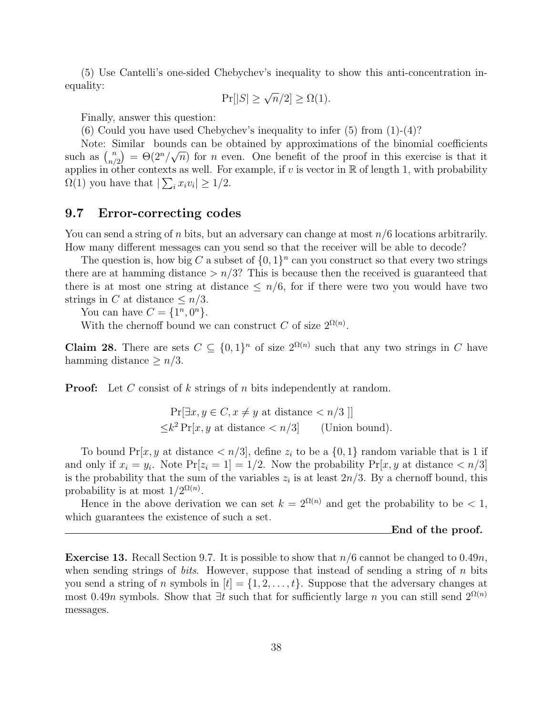(5) Use Cantelli's one-sided Chebychev's inequality to show this anti-concentration inequality:

$$
\Pr[|S| \ge \sqrt{n}/2] \ge \Omega(1).
$$

Finally, answer this question:

(6) Could you have used Chebychev's inequality to infer  $(5)$  from  $(1)-(4)$ ?

Note: Similar bounds can be obtained by approximations of the binomial coefficients Note: 5<br>such as  $\binom{n}{n}$  $n(n) = \Theta(2^n/\sqrt{n})$  for *n* even. One benefit of the proof in this exercise is that it applies in other contexts as well. For example, if v is vector in  $\mathbb R$  of length 1, with probability  $\Omega(1)$  you have that  $|\sum_i x_i v_i| \geq 1/2$ .

### 9.7 Error-correcting codes

You can send a string of n bits, but an adversary can change at most  $n/6$  locations arbitrarily. How many different messages can you send so that the receiver will be able to decode?

The question is, how big C a subset of  $\{0,1\}^n$  can you construct so that every two strings there are at hamming distance  $> n/3$ ? This is because then the received is guaranteed that there is at most one string at distance  $\leq n/6$ , for if there were two you would have two strings in C at distance  $\leq n/3$ .

You can have  $C = \{1^n, 0^n\}.$ 

With the chernoff bound we can construct C of size  $2^{\Omega(n)}$ .

**Claim 28.** There are sets  $C \subseteq \{0,1\}^n$  of size  $2^{\Omega(n)}$  such that any two strings in C have hamming distance  $\geq n/3$ .

**Proof:** Let C consist of k strings of n bits independently at random.

 $Pr[\exists x, y \in C, x \neq y \text{ at distance} < n/3]$  $\leq k^2 \Pr[x, y \text{ at distance} < n/3]$  (Union bound).

To bound  $Pr[x, y]$  at distance  $\langle n/3|$ , define  $z_i$  to be a  $\{0,1\}$  random variable that is 1 if and only if  $x_i = y_i$ . Note  $Pr[z_i = 1] = 1/2$ . Now the probability  $Pr[x, y]$  at distance  $\langle n/3]$ is the probability that the sum of the variables  $z_i$  is at least  $2n/3$ . By a chernoff bound, this probability is at most  $1/2^{\Omega(n)}$ .

Hence in the above derivation we can set  $k = 2^{\Omega(n)}$  and get the probability to be < 1, which guarantees the existence of such a set.

#### End of the proof.

**Exercise 13.** Recall Section 9.7. It is possible to show that  $n/6$  cannot be changed to 0.49n, when sending strings of *bits*. However, suppose that instead of sending a string of n bits you send a string of n symbols in  $[t] = \{1, 2, \ldots, t\}$ . Suppose that the adversary changes at most 0.49n symbols. Show that  $\exists t$  such that for sufficiently large n you can still send  $2^{\Omega(n)}$ messages.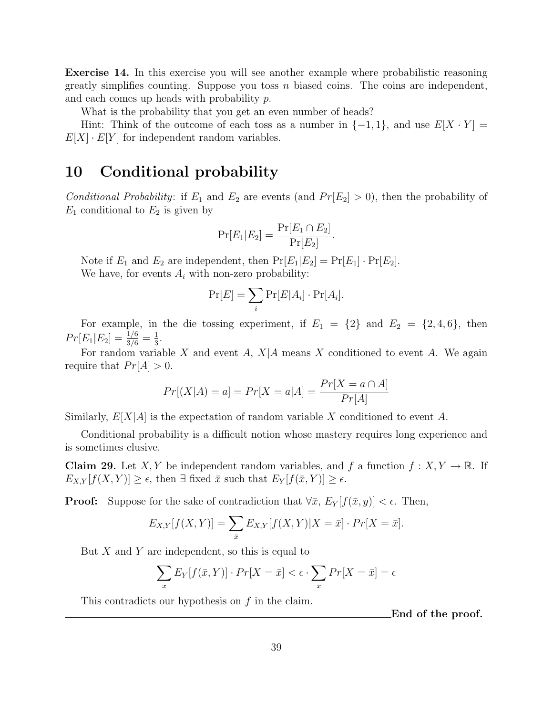Exercise 14. In this exercise you will see another example where probabilistic reasoning greatly simplifies counting. Suppose you toss  $n$  biased coins. The coins are independent, and each comes up heads with probability  $p$ .

What is the probability that you get an even number of heads?

Hint: Think of the outcome of each toss as a number in  $\{-1,1\}$ , and use  $E[X \cdot Y] =$  $E[X] \cdot E[Y]$  for independent random variables.

### 10 Conditional probability

Conditional Probability: if  $E_1$  and  $E_2$  are events (and  $Pr[E_2] > 0$ ), then the probability of  $E_1$  conditional to  $E_2$  is given by

$$
\Pr[E_1|E_2] = \frac{\Pr[E_1 \cap E_2]}{\Pr[E_2]}
$$

.

Note if  $E_1$  and  $E_2$  are independent, then  $Pr[E_1|E_2] = Pr[E_1] \cdot Pr[E_2]$ . We have, for events  $A_i$  with non-zero probability:

$$
\Pr[E] = \sum_{i} \Pr[E|A_i] \cdot \Pr[A_i].
$$

For example, in the die tossing experiment, if  $E_1 = \{2\}$  and  $E_2 = \{2, 4, 6\}$ , then  $Pr[E_1|E_2] = \frac{1/6}{3/6} = \frac{1}{3}$  $\frac{1}{3}$ .

For random variable X and event A,  $X|A$  means X conditioned to event A. We again require that  $Pr[A] > 0$ .

$$
Pr[(X|A) = a] = Pr[X = a|A] = \frac{Pr[X = a \cap A]}{Pr[A]}
$$

Similarly,  $E[X|A]$  is the expectation of random variable X conditioned to event A.

Conditional probability is a difficult notion whose mastery requires long experience and is sometimes elusive.

**Claim 29.** Let X, Y be independent random variables, and f a function  $f: X, Y \to \mathbb{R}$ . If  $E_{X,Y}[f(X,Y)] \geq \epsilon$ , then  $\exists$  fixed  $\bar{x}$  such that  $E_Y[f(\bar{x}, Y)] \geq \epsilon$ .

**Proof:** Suppose for the sake of contradiction that  $\forall \bar{x}$ ,  $E_Y[f(\bar{x}, y)] < \epsilon$ . Then,

$$
E_{X,Y}[f(X,Y)] = \sum_{\bar{x}} E_{X,Y}[f(X,Y)|X = \bar{x}] \cdot Pr[X = \bar{x}].
$$

But  $X$  and  $Y$  are independent, so this is equal to

$$
\sum_{\bar{x}} E_Y[f(\bar{x}, Y)] \cdot Pr[X = \bar{x}] < \epsilon \cdot \sum_{\bar{x}} Pr[X = \bar{x}] = \epsilon
$$

This contradicts our hypothesis on  $f$  in the claim.

End of the proof.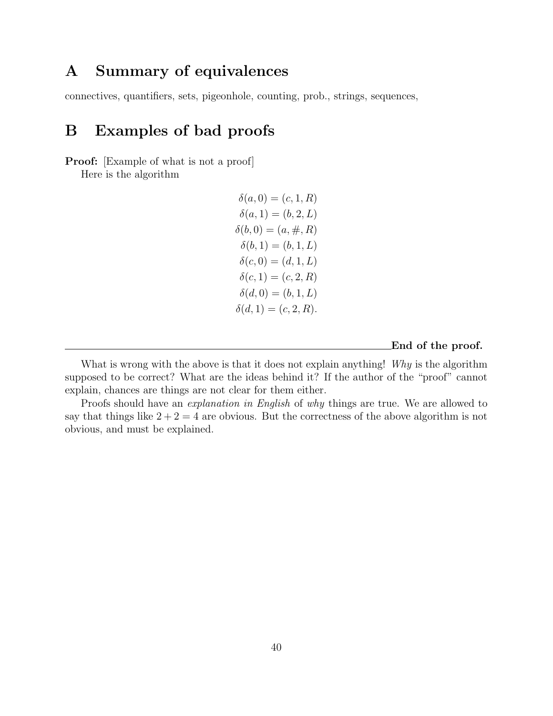# A Summary of equivalences

connectives, quantifiers, sets, pigeonhole, counting, prob., strings, sequences,

# B Examples of bad proofs

**Proof:** [Example of what is not a proof]

Here is the algorithm

 $\delta(a, 0) = (c, 1, R)$  $\delta(a, 1) = (b, 2, L)$  $\delta(b, 0) = (a, \#, R)$  $\delta(b, 1) = (b, 1, L)$  $\delta(c, 0) = (d, 1, L)$  $\delta(c, 1) = (c, 2, R)$  $\delta(d, 0) = (b, 1, L)$  $\delta(d, 1) = (c, 2, R).$ 

End of the proof.

What is wrong with the above is that it does not explain anything! Why is the algorithm supposed to be correct? What are the ideas behind it? If the author of the "proof" cannot explain, chances are things are not clear for them either.

Proofs should have an *explanation in English* of why things are true. We are allowed to say that things like  $2 + 2 = 4$  are obvious. But the correctness of the above algorithm is not obvious, and must be explained.